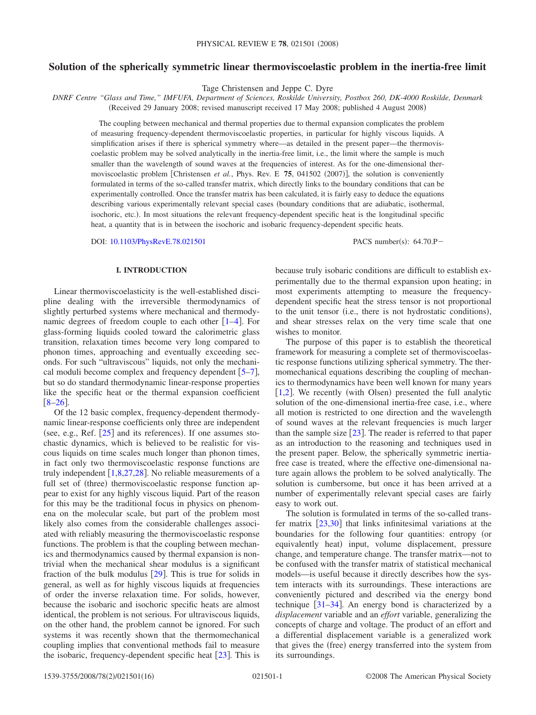## **Solution of the spherically symmetric linear thermoviscoelastic problem in the inertia-free limit**

Tage Christensen and Jeppe C. Dyre

*DNRF Centre "Glass and Time," IMFUFA, Department of Sciences, Roskilde University, Postbox 260, DK-4000 Roskilde, Denmark* (Received 29 January 2008; revised manuscript received 17 May 2008; published 4 August 2008)

The coupling between mechanical and thermal properties due to thermal expansion complicates the problem of measuring frequency-dependent thermoviscoelastic properties, in particular for highly viscous liquids. A simplification arises if there is spherical symmetry where—as detailed in the present paper—the thermoviscoelastic problem may be solved analytically in the inertia-free limit, i.e., the limit where the sample is much smaller than the wavelength of sound waves at the frequencies of interest. As for the one-dimensional thermoviscoelastic problem [Christensen *et al.*, Phys. Rev. E 75, 041502 (2007)], the solution is conveniently formulated in terms of the so-called transfer matrix, which directly links to the boundary conditions that can be experimentally controlled. Once the transfer matrix has been calculated, it is fairly easy to deduce the equations describing various experimentally relevant special cases (boundary conditions that are adiabatic, isothermal, isochoric, etc.). In most situations the relevant frequency-dependent specific heat is the longitudinal specific heat, a quantity that is in between the isochoric and isobaric frequency-dependent specific heats.

DOI: [10.1103/PhysRevE.78.021501](http://dx.doi.org/10.1103/PhysRevE.78.021501)

PACS number(s):  $64.70 \text{ P}$ 

### **I. INTRODUCTION**

Linear thermoviscoelasticity is the well-established discipline dealing with the irreversible thermodynamics of slightly perturbed systems where mechanical and thermodynamic degrees of freedom couple to each other  $[1-4]$  $[1-4]$  $[1-4]$ . For glass-forming liquids cooled toward the calorimetric glass transition, relaxation times become very long compared to phonon times, approaching and eventually exceeding seconds. For such "ultraviscous" liquids, not only the mechanical moduli become complex and frequency dependent  $[5-7]$  $[5-7]$  $[5-7]$ , but so do standard thermodynamic linear-response properties like the specific heat or the thermal expansion coefficient  $[8-26]$  $[8-26]$  $[8-26]$ .

Of the 12 basic complex, frequency-dependent thermodynamic linear-response coefficients only three are independent (see, e.g., Ref.  $[25]$  $[25]$  $[25]$  and its references). If one assumes stochastic dynamics, which is believed to be realistic for viscous liquids on time scales much longer than phonon times, in fact only two thermoviscoelastic response functions are truly independent  $[1,8,27,28]$  $[1,8,27,28]$  $[1,8,27,28]$  $[1,8,27,28]$  $[1,8,27,28]$  $[1,8,27,28]$ . No reliable measurements of a full set of (three) thermoviscoelastic response function appear to exist for any highly viscous liquid. Part of the reason for this may be the traditional focus in physics on phenomena on the molecular scale, but part of the problem most likely also comes from the considerable challenges associated with reliably measuring the thermoviscoelastic response functions. The problem is that the coupling between mechanics and thermodynamics caused by thermal expansion is nontrivial when the mechanical shear modulus is a significant fraction of the bulk modulus  $[29]$  $[29]$  $[29]$ . This is true for solids in general, as well as for highly viscous liquids at frequencies of order the inverse relaxation time. For solids, however, because the isobaric and isochoric specific heats are almost identical, the problem is not serious. For ultraviscous liquids, on the other hand, the problem cannot be ignored. For such systems it was recently shown that the thermomechanical coupling implies that conventional methods fail to measure the isobaric, frequency-dependent specific heat  $[23]$  $[23]$  $[23]$ . This is because truly isobaric conditions are difficult to establish experimentally due to the thermal expansion upon heating; in most experiments attempting to measure the frequencydependent specific heat the stress tensor is not proportional to the unit tensor (i.e., there is not hydrostatic conditions), and shear stresses relax on the very time scale that one wishes to monitor.

The purpose of this paper is to establish the theoretical framework for measuring a complete set of thermoviscoelastic response functions utilizing spherical symmetry. The thermomechanical equations describing the coupling of mechanics to thermodynamics have been well known for many years  $[1,2]$  $[1,2]$  $[1,2]$  $[1,2]$ . We recently (with Olsen) presented the full analytic solution of the one-dimensional inertia-free case, i.e., where all motion is restricted to one direction and the wavelength of sound waves at the relevant frequencies is much larger than the sample size  $[23]$  $[23]$  $[23]$ . The reader is referred to that paper as an introduction to the reasoning and techniques used in the present paper. Below, the spherically symmetric inertiafree case is treated, where the effective one-dimensional nature again allows the problem to be solved analytically. The solution is cumbersome, but once it has been arrived at a number of experimentally relevant special cases are fairly easy to work out.

The solution is formulated in terms of the so-called transfer matrix  $\left[23,30\right]$  $\left[23,30\right]$  $\left[23,30\right]$  $\left[23,30\right]$  that links infinitesimal variations at the boundaries for the following four quantities: entropy (or equivalently heat) input, volume displacement, pressure change, and temperature change. The transfer matrix—not to be confused with the transfer matrix of statistical mechanical models—is useful because it directly describes how the system interacts with its surroundings. These interactions are conveniently pictured and described via the energy bond technique  $[31-34]$  $[31-34]$  $[31-34]$ . An energy bond is characterized by a *displacement* variable and an *effort* variable, generalizing the concepts of charge and voltage. The product of an effort and a differential displacement variable is a generalized work that gives the (free) energy transferred into the system from its surroundings.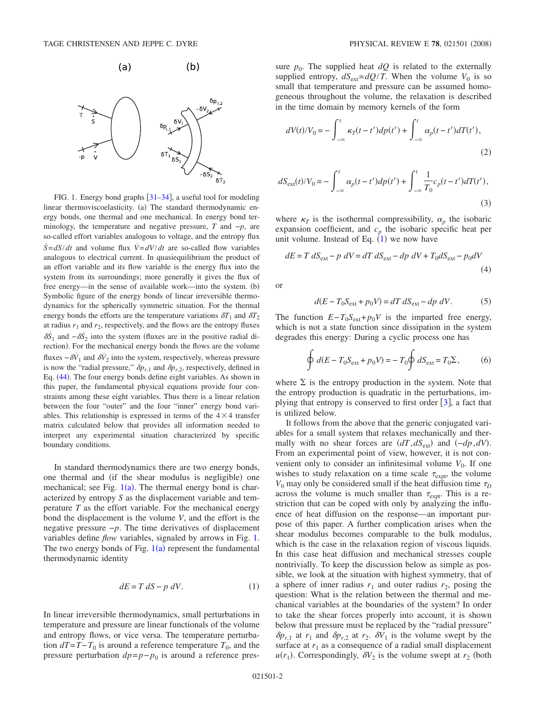<span id="page-1-0"></span>

FIG. 1. Energy bond graphs  $\left[31-34\right]$  $\left[31-34\right]$  $\left[31-34\right]$ , a useful tool for modeling linear thermoviscoelasticity. (a) The standard thermodynamic energy bonds, one thermal and one mechanical. In energy bond terminology, the temperature and negative pressure, *T* and −*p*, are so-called effort variables analogous to voltage, and the entropy flux  $\dot{S} = dS/dt$  and volume flux  $\dot{V} = dV/dt$  are so-called flow variables analogous to electrical current. In quasiequilibrium the product of an effort variable and its flow variable is the energy flux into the system from its surroundings; more generally it gives the flux of free energy—in the sense of available work—into the system. (b) Symbolic figure of the energy bonds of linear irreversible thermodynamics for the spherically symmetric situation. For the thermal energy bonds the efforts are the temperature variations  $\delta T_1$  and  $\delta T_2$ at radius  $r_1$  and  $r_2$ , respectively, and the flows are the entropy fluxes  $\delta S_1$  and  $-\delta S_2$  into the system (fluxes are in the positive radial direction). For the mechanical energy bonds the flows are the volume fluxes  $-\delta V_1$  and  $\delta V_2$  into the system, respectively, whereas pressure is now the "radial pressure,"  $\delta p_{r,1}$  and  $\delta p_{r,2}$ , respectively, defined in Eq. ([44](#page-4-0)). The four energy bonds define eight variables. As shown in this paper, the fundamental physical equations provide four constraints among these eight variables. Thus there is a linear relation between the four "outer" and the four "inner" energy bond variables. This relationship is expressed in terms of the  $4 \times 4$  transfer matrix calculated below that provides all information needed to interpret any experimental situation characterized by specific boundary conditions.

In standard thermodynamics there are two energy bonds, one thermal and (if the shear modulus is negligible) one mechanical; see Fig.  $1(a)$  $1(a)$ . The thermal energy bond is characterized by entropy *S* as the displacement variable and temperature *T* as the effort variable. For the mechanical energy bond the displacement is the volume *V*, and the effort is the negative pressure −*p*. The time derivatives of displacement variables define *flow* variables, signaled by arrows in Fig. [1.](#page-1-0) The two energy bonds of Fig.  $1(a)$  $1(a)$  represent the fundamental thermodynamic identity

$$
dE = T dS - p dV.
$$
 (1)

<span id="page-1-1"></span>In linear irreversible thermodynamics, small perturbations in temperature and pressure are linear functionals of the volume and entropy flows, or vice versa. The temperature perturbation  $dT=T-T_0$  is around a reference temperature  $T_0$ , and the pressure perturbation  $dp = p - p_0$  is around a reference pressure  $p_0$ . The supplied heat  $dQ$  is related to the externally supplied entropy,  $dS_{ext} = dQ/T$ . When the volume  $V_0$  is so small that temperature and pressure can be assumed homogeneous throughout the volume, the relaxation is described in the time domain by memory kernels of the form

$$
dV(t)/V_0 = -\int_{-\infty}^t \kappa_T(t - t')dp(t') + \int_{-\infty}^t \alpha_p(t - t')dT(t'),
$$
\n(2)

$$
dS_{\text{ext}}(t)/V_0 = -\int_{-\infty}^t \alpha_p(t - t')dp(t') + \int_{-\infty}^t \frac{1}{T_0}c_p(t - t')dT(t'),
$$
\n(3)

where  $\kappa_T$  is the isothermal compressibility,  $\alpha_p$  the isobaric expansion coefficient, and  $c_p$  the isobaric specific heat per unit volume. Instead of Eq.  $(1)$  $(1)$  $(1)$  we now have

$$
dE = T dS_{\text{ext}} - p dV = dT dS_{\text{ext}} - dp dV + T_0 dS_{\text{ext}} - p_0 dV
$$
\n(4)

or

$$
d(E - T_0 S_{\text{ext}} + p_0 V) = dT dS_{\text{ext}} - dp dV.
$$
 (5)

<span id="page-1-2"></span>The function  $E-T_0S_{ext}+p_0V$  is the imparted free energy, which is not a state function since dissipation in the system degrades this energy: During a cyclic process one has

$$
\oint d(E - T_0 S_{ext} + p_0 V) = -T_0 \oint dS_{ext} = T_0 \Sigma, \qquad (6)
$$

where  $\Sigma$  is the entropy production in the system. Note that the entropy production is quadratic in the perturbations, implying that entropy is conserved to first order  $\lceil 3 \rceil$  $\lceil 3 \rceil$  $\lceil 3 \rceil$ , a fact that is utilized below.

It follows from the above that the generic conjugated variables for a small system that relaxes mechanically and thermally with no shear forces are  $(dT, dS_{ext})$  and  $(-dp, dV)$ . From an experimental point of view, however, it is not convenient only to consider an infinitesimal volume  $V_0$ . If one wishes to study relaxation on a time scale  $\tau_{\text{expt}}$ , the volume  $V_0$  may only be considered small if the heat diffusion time  $\tau_D$ across the volume is much smaller than  $\tau_{\text{expt}}$ . This is a restriction that can be coped with only by analyzing the influence of heat diffusion on the response—an important purpose of this paper. A further complication arises when the shear modulus becomes comparable to the bulk modulus, which is the case in the relaxation region of viscous liquids. In this case heat diffusion and mechanical stresses couple nontrivially. To keep the discussion below as simple as possible, we look at the situation with highest symmetry, that of a sphere of inner radius  $r_1$  and outer radius  $r_2$ , posing the question: What is the relation between the thermal and mechanical variables at the boundaries of the system? In order to take the shear forces properly into account, it is shown below that pressure must be replaced by the "radial pressure"  $\delta p_{r,1}$  at  $r_1$  and  $\delta p_{r,2}$  at  $r_2$ .  $\delta V_1$  is the volume swept by the surface at  $r_1$  as a consequence of a radial small displacement  $u(r_1)$ . Correspondingly,  $\delta V_2$  is the volume swept at  $r_2$  (both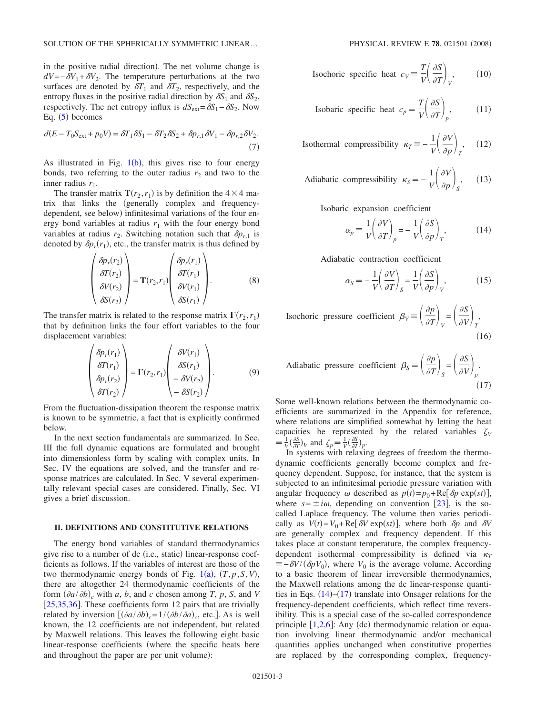in the positive radial direction). The net volume change is  $dV=-\delta V_1+\delta V_2$ . The temperature perturbations at the two surfaces are denoted by  $\delta T_1$  and  $\delta T_2$ , respectively, and the entropy fluxes in the positive radial direction by  $\delta S_1$  and  $\delta S_2$ , respectively. The net entropy influx is  $dS_{ext} = \delta S_1 - \delta S_2$ . Now Eq.  $(5)$  $(5)$  $(5)$  becomes

$$
d(E - T_0 S_{\text{ext}} + p_0 V) = \delta T_1 \delta S_1 - \delta T_2 \delta S_2 + \delta p_{r,1} \delta V_1 - \delta p_{r,2} \delta V_2.
$$
\n(7)

As illustrated in Fig.  $1(b)$  $1(b)$ , this gives rise to four energy bonds, two referring to the outer radius  $r_2$  and two to the inner radius  $r_1$ .

The transfer matrix  $\mathbf{T}(r_2, r_1)$  is by definition the  $4 \times 4$  matrix that links the generally complex and frequencydependent, see below) infinitesimal variations of the four energy bond variables at radius  $r_1$  with the four energy bond variables at radius  $r_2$ . Switching notation such that  $\delta p_{r,1}$  is denoted by  $\delta p_r(r_1)$ , etc., the transfer matrix is thus defined by

$$
\begin{pmatrix}\n\delta p_r(r_2) \\
\delta T(r_2) \\
\delta V(r_2) \\
\delta S(r_2)\n\end{pmatrix} = \mathbf{T}(r_2, r_1) \begin{pmatrix}\n\delta p_r(r_1) \\
\delta T(r_1) \\
\delta V(r_1) \\
\delta S(r_1)\n\end{pmatrix}.
$$
\n(8)

The transfer matrix is related to the response matrix  $\Gamma(r_2, r_1)$ that by definition links the four effort variables to the four displacement variables:

$$
\begin{pmatrix}\n\delta p_r(r_1) \\
\delta T(r_1) \\
\delta p_r(r_2) \\
\delta T(r_2)\n\end{pmatrix} = \Gamma(r_2, r_1) \begin{pmatrix}\n\delta V(r_1) \\
\delta S(r_1) \\
-\delta V(r_2) \\
-\delta S(r_2)\n\end{pmatrix} . \tag{9}
$$

From the fluctuation-dissipation theorem the response matrix is known to be symmetric, a fact that is explicitly confirmed below.

In the next section fundamentals are summarized. In Sec. III the full dynamic equations are formulated and brought into dimensionless form by scaling with complex units. In Sec. IV the equations are solved, and the transfer and response matrices are calculated. In Sec. V several experimentally relevant special cases are considered. Finally, Sec. VI gives a brief discussion.

### **II. DEFINITIONS AND CONSTITUTIVE RELATIONS**

The energy bond variables of standard thermodynamics give rise to a number of dc (i.e., static) linear-response coefficients as follows. If the variables of interest are those of the two thermodynamic energy bonds of Fig.  $1(a)$  $1(a)$ ,  $(T, p, S, V)$ , there are altogether 24 thermodynamic coefficients of the form  $\left(\frac{\partial a}{\partial b}\right)_c$  with *a*, *b*, and *c* chosen among *T*, *p*, *S*, and *V*  $[25,35,36]$  $[25,35,36]$  $[25,35,36]$  $[25,35,36]$  $[25,35,36]$ . These coefficients form 12 pairs that are trivially related by inversion  $[(\partial a/\partial b)_c = 1/(\partial b/\partial a)_c$ , etc.]. As is well known, the 12 coefficients are not independent, but related by Maxwell relations. This leaves the following eight basic linear-response coefficients (where the specific heats here and throughout the paper are per unit volume):

<span id="page-2-4"></span>Isochoric specific heat 
$$
c_V \equiv \frac{T}{V} \left( \frac{\partial S}{\partial T} \right)_V
$$
, (10)

Isobaric specific heat 
$$
c_p = \frac{T}{V} \left( \frac{\partial S}{\partial T} \right)_p
$$
, (11)

**Isothermal compressibility**  $\kappa_T = -\frac{1}{V} \left( \frac{\partial V}{\partial p} \right)_T$  $, (12)$ 

<span id="page-2-2"></span>Adiabatic compressibility 
$$
\kappa_S = -\frac{1}{V} \left( \frac{\partial V}{\partial p} \right)_S
$$
, (13)

<span id="page-2-0"></span>Isobaric expansion coefficient

$$
\alpha_p \equiv \frac{1}{V} \left( \frac{\partial V}{\partial T} \right)_p = -\frac{1}{V} \left( \frac{\partial S}{\partial p} \right)_T, \tag{14}
$$

Adiabatic contraction coefficient

$$
\alpha_S = -\frac{1}{V} \left( \frac{\partial V}{\partial T} \right)_S = \frac{1}{V} \left( \frac{\partial S}{\partial p} \right)_V, \tag{15}
$$

<span id="page-2-3"></span>Isochoric pressure coefficient  $\beta_V = \left(\frac{\partial p}{\partial T}\right)_V = \left(\frac{\partial S}{\partial V}\right)_T$ ,  $(16)$ 

<span id="page-2-1"></span>Adiabatic pressure coefficient 
$$
\beta_S \equiv \left(\frac{\partial p}{\partial T}\right)_S = \left(\frac{\partial S}{\partial V}\right)_p
$$
. (17)

Some well-known relations between the thermodynamic coefficients are summarized in the Appendix for reference, where relations are simplified somewhat by letting the heat capacities be represented by the related variables  $\zeta_V$  $\equiv \frac{1}{V} \left( \frac{\partial S}{\partial T} \right)_V$  and  $\zeta_p \equiv \frac{1}{V} \left( \frac{\partial S}{\partial T} \right)_p$ .

In systems with relaxing degrees of freedom the thermodynamic coefficients generally become complex and frequency dependent. Suppose, for instance, that the system is subjected to an infinitesimal periodic pressure variation with angular frequency  $\omega$  described as  $p(t) = p_0 + \text{Re}[\delta p \exp(st)]$ , where  $s = \pm i\omega$ , depending on convention [[23](#page-14-10)], is the socalled Laplace frequency. The volume then varies periodically as  $V(t) = V_0 + \text{Re}[\delta V \exp(st)]$ , where both  $\delta p$  and  $\delta V$ are generally complex and frequency dependent. If this takes place at constant temperature, the complex frequencydependent isothermal compressibility is defined via  $\kappa_T$  $\equiv -\delta V/(\delta pV_0)$ , where  $V_0$  is the average volume. According to a basic theorem of linear irreversible thermodynamics, the Maxwell relations among the dc linear-response quantities in Eqs.  $(14)$  $(14)$  $(14)$ – $(17)$  $(17)$  $(17)$  translate into Onsager relations for the frequency-dependent coefficients, which reflect time reversibility. This is a special case of the so-called correspondence principle  $[1,2,6]$  $[1,2,6]$  $[1,2,6]$  $[1,2,6]$  $[1,2,6]$ : Any (dc) thermodynamic relation or equation involving linear thermodynamic and/or mechanical quantities applies unchanged when constitutive properties are replaced by the corresponding complex, frequency-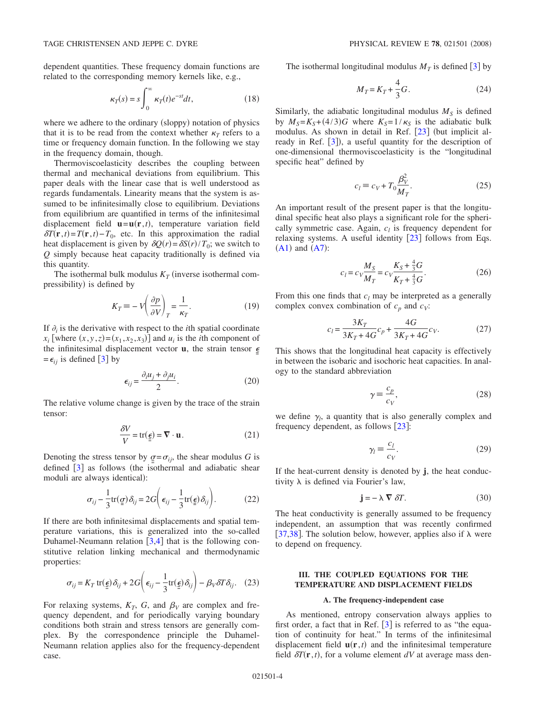$$
\kappa_T(s) = s \int_0^\infty \kappa_T(t) e^{-st} dt,\tag{18}
$$

where we adhere to the ordinary (sloppy) notation of physics that it is to be read from the context whether  $\kappa_T$  refers to a time or frequency domain function. In the following we stay in the frequency domain, though.

Thermoviscoelasticity describes the coupling between thermal and mechanical deviations from equilibrium. This paper deals with the linear case that is well understood as regards fundamentals. Linearity means that the system is assumed to be infinitesimally close to equilibrium. Deviations from equilibrium are quantified in terms of the infinitesimal displacement field  $\mathbf{u} = \mathbf{u}(\mathbf{r}, t)$ , temperature variation field  $\delta T(\mathbf{r},t) = T(\mathbf{r},t) - T_0$ , etc. In this approximation the radial heat displacement is given by  $\delta Q(r) = \delta S(r)/T_0$ ; we switch to *Q* simply because heat capacity traditionally is defined via this quantity.

The isothermal bulk modulus  $K_T$  (inverse isothermal compressibility) is defined by

$$
K_T \equiv -V \left(\frac{\partial p}{\partial V}\right)_T = \frac{1}{\kappa_T}.\tag{19}
$$

If  $\partial_i$  is the derivative with respect to the *i*th spatial coordinate  $x_i$  [where  $(x, y, z) = (x_1, x_2, x_3)$ ] and  $u_i$  is the *i*th component of the infinitesimal displacement vector  $\bf{u}$ , the strain tensor  $\epsilon$  $=\epsilon_{ii}$  is defined [[3](#page-14-14)] by

$$
\epsilon_{ij} = \frac{\partial_i u_j + \partial_j u_i}{2}.
$$
 (20)

The relative volume change is given by the trace of the strain tensor:

$$
\frac{\delta V}{V} = \text{tr}(\underline{\epsilon}) = \nabla \cdot \mathbf{u}.
$$
 (21)

<span id="page-3-1"></span>Denoting the stress tensor by  $q = \sigma_{ij}$ , the shear modulus *G* is defined  $\begin{bmatrix} 3 \end{bmatrix}$  $\begin{bmatrix} 3 \end{bmatrix}$  $\begin{bmatrix} 3 \end{bmatrix}$  as follows (the isothermal and adiabatic shear moduli are always identical):

$$
\sigma_{ij} - \frac{1}{3} \text{tr}(\underline{g}) \delta_{ij} = 2G \bigg( \epsilon_{ij} - \frac{1}{3} \text{tr}(\underline{\epsilon}) \delta_{ij} \bigg). \tag{22}
$$

<span id="page-3-2"></span>If there are both infinitesimal displacements and spatial temperature variations, this is generalized into the so-called Duhamel-Neumann relation  $[3,4]$  $[3,4]$  $[3,4]$  $[3,4]$  that is the following constitutive relation linking mechanical and thermodynamic properties:

$$
\sigma_{ij} = K_T \operatorname{tr}(\underline{\epsilon}) \, \delta_{ij} + 2G \bigg( \epsilon_{ij} - \frac{1}{3} \operatorname{tr}(\underline{\epsilon}) \, \delta_{ij} \bigg) - \beta_V \delta T \delta_{ij}. \tag{23}
$$

<span id="page-3-0"></span>For relaxing systems,  $K_T$ , G, and  $\beta_V$  are complex and frequency dependent, and for periodically varying boundary conditions both strain and stress tensors are generally complex. By the correspondence principle the Duhamel-Neumann relation applies also for the frequency-dependent case.

The isothermal longitudinal modulus  $M_T$  is defined [[3](#page-14-14)] by

$$
M_T = K_T + \frac{4}{3}G.
$$
 (24)

Similarly, the adiabatic longitudinal modulus  $M<sub>S</sub>$  is defined by  $M_S = K_S + (4/3)G$  where  $K_S = 1/\kappa_S$  is the adiabatic bulk modulus. As shown in detail in Ref.  $\lceil 23 \rceil$  $\lceil 23 \rceil$  $\lceil 23 \rceil$  (but implicit already in Ref.  $[3]$  $[3]$  $[3]$ ), a useful quantity for the description of one-dimensional thermoviscoelasticity is the "longitudinal specific heat" defined by

$$
c_l \equiv c_V + T_0 \frac{\beta_V^2}{M_T}.\tag{25}
$$

An important result of the present paper is that the longitudinal specific heat also plays a significant role for the spherically symmetric case. Again,  $c_l$  is frequency dependent for relaxing systems. A useful identity  $[23]$  $[23]$  $[23]$  follows from Eqs.  $(A1)$  $(A1)$  $(A1)$  and  $(A7)$  $(A7)$  $(A7)$ :

$$
c_l = c_V \frac{M_S}{M_T} = c_V \frac{K_S + \frac{4}{3}G}{K_T + \frac{4}{3}G}.
$$
 (26)

From this one finds that  $c_l$  may be interpreted as a generally complex convex combination of  $c_p$  and  $c_V$ :

$$
c_l = \frac{3K_T}{3K_T + 4G}c_p + \frac{4G}{3K_T + 4G}c_V.
$$
 (27)

This shows that the longitudinal heat capacity is effectively in between the isobaric and isochoric heat capacities. In analogy to the standard abbreviation

$$
\gamma \equiv \frac{c_p}{c_V},\tag{28}
$$

<span id="page-3-4"></span>we define  $\gamma_l$ , a quantity that is also generally complex and frequency dependent, as follows  $[23]$  $[23]$  $[23]$ :

$$
\gamma_l \equiv \frac{c_l}{c_V}.\tag{29}
$$

<span id="page-3-5"></span>If the heat-current density is denoted by **j**, the heat conductivity  $\lambda$  is defined via Fourier's law,

$$
\mathbf{j} = -\lambda \nabla \delta T. \tag{30}
$$

<span id="page-3-3"></span>The heat conductivity is generally assumed to be frequency independent, an assumption that was recently confirmed [[37,](#page-15-3)[38](#page-15-4)]. The solution below, however, applies also if  $\lambda$  were to depend on frequency.

## **III. THE COUPLED EQUATIONS FOR THE TEMPERATURE AND DISPLACEMENT FIELDS**

## **A. The frequency-independent case**

As mentioned, entropy conservation always applies to first order, a fact that in Ref.  $\lceil 3 \rceil$  $\lceil 3 \rceil$  $\lceil 3 \rceil$  is referred to as "the equation of continuity for heat." In terms of the infinitesimal displacement field  $\mathbf{u}(\mathbf{r},t)$  and the infinitesimal temperature field  $\delta T(\mathbf{r},t)$ , for a volume element  $dV$  at average mass den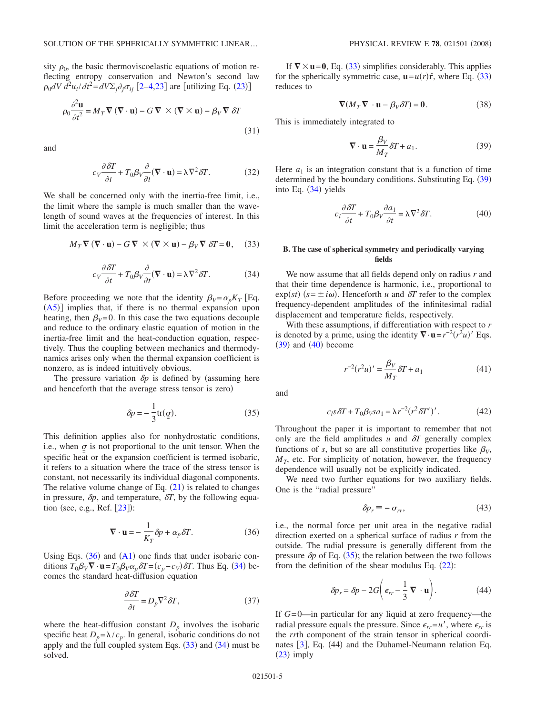sity  $\rho_0$ , the basic thermoviscoelastic equations of motion reflecting entropy conservation and Newton's second law  $\rho_0 dV d^2 u_i / dt^2 = dV \Sigma_j \partial_j \sigma_{ij}$  [[2–](#page-14-11)[4](#page-14-1)[,23](#page-14-10)] are [utilizing Eq. ([23](#page-3-0))]

$$
\rho_0 \frac{\partial^2 \mathbf{u}}{\partial t^2} = M_T \nabla (\nabla \cdot \mathbf{u}) - G \nabla \times (\nabla \times \mathbf{u}) - \beta_V \nabla \delta T
$$
\n(31)

and

$$
c_V \frac{\partial \delta T}{\partial t} + T_0 \beta_V \frac{\partial}{\partial t} (\nabla \cdot \mathbf{u}) = \lambda \nabla^2 \delta T.
$$
 (32)

We shall be concerned only with the inertia-free limit, i.e., the limit where the sample is much smaller than the wavelength of sound waves at the frequencies of interest. In this limit the acceleration term is negligible; thus

<span id="page-4-3"></span>
$$
M_T \nabla (\nabla \cdot \mathbf{u}) - G \nabla \times (\nabla \times \mathbf{u}) - \beta_V \nabla \delta T = 0, \quad (33)
$$

$$
c_V \frac{\partial \delta T}{\partial t} + T_0 \beta_V \frac{\partial}{\partial t} (\nabla \cdot \mathbf{u}) = \lambda \nabla^2 \delta T.
$$
 (34)

<span id="page-4-2"></span>Before proceeding we note that the identity  $\beta_V = \alpha_p K_T$  [Eq.  $(A5)$  $(A5)$  $(A5)$ ] implies that, if there is no thermal expansion upon heating, then  $\beta_V=0$ . In this case the two equations decouple and reduce to the ordinary elastic equation of motion in the inertia-free limit and the heat-conduction equation, respectively. Thus the coupling between mechanics and thermodynamics arises only when the thermal expansion coefficient is nonzero, as is indeed intuitively obvious.

The pressure variation  $\delta p$  is defined by (assuming here and henceforth that the average stress tensor is zero)

$$
\delta p = -\frac{1}{3} \text{tr}(\underline{q}).\tag{35}
$$

<span id="page-4-6"></span>This definition applies also for nonhydrostatic conditions, i.e., when  $\sigma$  is not proportional to the unit tensor. When the specific heat or the expansion coefficient is termed isobaric, it refers to a situation where the trace of the stress tensor is constant, not necessarily its individual diagonal components. The relative volume change of Eq.  $(21)$  $(21)$  $(21)$  is related to changes in pressure,  $\delta p$ , and temperature,  $\delta T$ , by the following equation (see, e.g., Ref.  $[23]$  $[23]$  $[23]$ ):

$$
\nabla \cdot \mathbf{u} = -\frac{1}{K_T} \delta p + \alpha_p \delta T.
$$
 (36)

<span id="page-4-1"></span>Using Eqs.  $(36)$  $(36)$  $(36)$  and  $(A1)$  $(A1)$  $(A1)$  one finds that under isobaric conditions  $T_0 \beta_V \nabla \cdot \mathbf{u} = T_0 \beta_V \alpha_p \delta T = (c_p - c_V) \delta T$ . Thus Eq. ([34](#page-4-2)) becomes the standard heat-diffusion equation

$$
\frac{\partial \delta T}{\partial t} = D_p \nabla^2 \delta T,\tag{37}
$$

<span id="page-4-9"></span>where the heat-diffusion constant  $D_p$  involves the isobaric specific heat  $D_p = \lambda / c_p$ . In general, isobaric conditions do not apply and the full coupled system Eqs.  $(33)$  $(33)$  $(33)$  and  $(34)$  $(34)$  $(34)$  must be solved.

If  $\nabla \times$ **u**=**0**, Eq. ([33](#page-4-3)) simplifies considerably. This applies for the spherically symmetric case,  $\mathbf{u} = u(r)\hat{\mathbf{r}}$ , where Eq. ([33](#page-4-3)) reduces to

$$
\nabla (M_T \nabla \cdot \mathbf{u} - \beta_V \delta T) = \mathbf{0}.
$$
 (38)

This is immediately integrated to

$$
\nabla \cdot \mathbf{u} = \frac{\beta_V}{M_T} \delta T + a_1.
$$
 (39)

<span id="page-4-4"></span>Here  $a_1$  is an integration constant that is a function of time determined by the boundary conditions. Substituting Eq. ([39](#page-4-4)) into Eq. ([34](#page-4-2)) yields

$$
c_l \frac{\partial \delta T}{\partial t} + T_0 \beta_V \frac{\partial a_1}{\partial t} = \lambda \nabla^2 \delta T.
$$
 (40)

## <span id="page-4-5"></span>**B. The case of spherical symmetry and periodically varying fields**

We now assume that all fields depend only on radius *r* and that their time dependence is harmonic, i.e., proportional to  $\exp(st)$  ( $s = \pm i\omega$ ). Henceforth *u* and  $\delta T$  refer to the complex frequency-dependent amplitudes of the infinitesimal radial displacement and temperature fields, respectively.

With these assumptions, if differentiation with respect to *r* is denoted by a prime, using the identity  $\nabla \cdot \mathbf{u} = r^{-2}(r^2u)'$  Eqs.  $(39)$  $(39)$  $(39)$  and  $(40)$  $(40)$  $(40)$  become

$$
r^{-2}(r^{2}u)' = \frac{\beta_{V}}{M_{T}} \delta T + a_{1}
$$
\n(41)

<span id="page-4-8"></span>and

$$
c_l s \, \delta T + T_0 \beta_V s a_1 = \lambda r^{-2} (r^2 \delta T')'. \tag{42}
$$

<span id="page-4-7"></span>Throughout the paper it is important to remember that not only are the field amplitudes  $u$  and  $\delta T$  generally complex functions of *s*, but so are all constitutive properties like  $\beta_V$ ,  $M_T$ , etc. For simplicity of notation, however, the frequency dependence will usually not be explicitly indicated.

We need two further equations for two auxiliary fields. One is the "radial pressure"

$$
\delta p_r \equiv -\sigma_{rr},\tag{43}
$$

i.e., the normal force per unit area in the negative radial direction exerted on a spherical surface of radius *r* from the outside. The radial pressure is generally different from the pressure  $\delta p$  of Eq. ([35](#page-4-6)); the relation between the two follows from the definition of the shear modulus Eq.  $(22)$  $(22)$  $(22)$ :

$$
\delta p_r = \delta p - 2G \left( \epsilon_{rr} - \frac{1}{3} \mathbf{\nabla} \cdot \mathbf{u} \right). \tag{44}
$$

<span id="page-4-0"></span>If *G*= 0—in particular for any liquid at zero frequency—the radial pressure equals the pressure. Since  $\epsilon_{rr} = u'$ , where  $\epsilon_{rr}$  is the *rr*th component of the strain tensor in spherical coordi-nates [[3](#page-14-14)], Eq. (44) and the Duhamel-Neumann relation Eq.  $(23)$  $(23)$  $(23)$  imply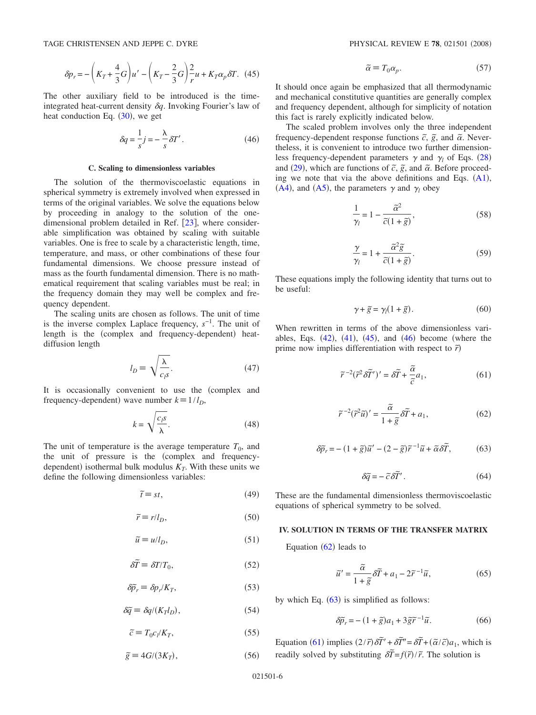$$
\delta p_r = -\left(K_T + \frac{4}{3}G\right)u' - \left(K_T - \frac{2}{3}G\right)\frac{2}{r}u + K_T\alpha_p\delta T.
$$
 (45)

<span id="page-5-0"></span>The other auxiliary field to be introduced is the timeintegrated heat-current density  $\delta q$ . Invoking Fourier's law of heat conduction Eq.  $(30)$  $(30)$  $(30)$ , we get

$$
\delta q = \frac{1}{s} j = -\frac{\lambda}{s} \delta T'.
$$
 (46)

## **C. Scaling to dimensionless variables**

<span id="page-5-1"></span>The solution of the thermoviscoelastic equations in spherical symmetry is extremely involved when expressed in terms of the original variables. We solve the equations below by proceeding in analogy to the solution of the onedimensional problem detailed in Ref.  $[23]$  $[23]$  $[23]$ , where considerable simplification was obtained by scaling with suitable variables. One is free to scale by a characteristic length, time, temperature, and mass, or other combinations of these four fundamental dimensions. We choose pressure instead of mass as the fourth fundamental dimension. There is no mathematical requirement that scaling variables must be real; in the frequency domain they may well be complex and frequency dependent.

The scaling units are chosen as follows. The unit of time is the inverse complex Laplace frequency, *s*−1. The unit of length is the (complex and frequency-dependent) heatdiffusion length

$$
l_D \equiv \sqrt{\frac{\lambda}{c_l s}}.\tag{47}
$$

It is occasionally convenient to use the (complex and frequency-dependent) wave number  $k \equiv 1/l_D$ ,

$$
k = \sqrt{\frac{c_i s}{\lambda}}.\tag{48}
$$

The unit of temperature is the average temperature  $T_0$ , and the unit of pressure is the (complex and frequencydependent) isothermal bulk modulus  $K_T$ . With these units we define the following dimensionless variables:

$$
\tilde{t} \equiv st,\tag{49}
$$

$$
\tilde{r} \equiv r/l_D,\tag{50}
$$

$$
\tilde{u} \equiv u/l_D, \tag{51}
$$

$$
\delta \tilde{T} \equiv \delta T/T_0,\tag{52}
$$

$$
\delta \tilde{p}_r \equiv \delta p_r / K_T,\tag{53}
$$

$$
\delta \tilde{q} \equiv \delta q / (K_T l_D),\tag{54}
$$

$$
\tilde{c} \equiv T_0 c_l / K_T,\tag{55}
$$

$$
\tilde{g} \equiv 4G/(3K_T),\tag{56}
$$

$$
\tilde{\alpha} \equiv T_0 \alpha_p. \tag{57}
$$

It should once again be emphasized that all thermodynamic and mechanical constitutive quantities are generally complex and frequency dependent, although for simplicity of notation this fact is rarely explicitly indicated below.

The scaled problem involves only the three independent frequency-dependent response functions  $\tilde{c}$ ,  $\tilde{g}$ , and  $\tilde{\alpha}$ . Nevertheless, it is convenient to introduce two further dimensionless frequency-dependent parameters  $\gamma$  and  $\gamma_l$  of Eqs. ([28](#page-3-4)) and ([29](#page-3-5)), which are functions of  $\tilde{c}$ ,  $\tilde{g}$ , and  $\tilde{\alpha}$ . Before proceeding we note that via the above definitions and Eqs.  $(A1)$  $(A1)$  $(A1)$ , ([A4](#page-14-19)), and ([A5](#page-14-18)), the parameters  $\gamma$  and  $\gamma_l$  obey

$$
\frac{1}{\gamma_l} = 1 - \frac{\tilde{\alpha}^2}{\tilde{c}(1 + \tilde{g})},\tag{58}
$$

$$
\frac{\gamma}{\gamma_l} = 1 + \frac{\tilde{\alpha}^2 \tilde{g}}{\tilde{c} (1 + \tilde{g})}.
$$
 (59)

These equations imply the following identity that turns out to be useful:

$$
\gamma + \tilde{g} = \gamma_l (1 + \tilde{g}). \tag{60}
$$

<span id="page-5-4"></span>When rewritten in terms of the above dimensionless variables, Eqs.  $(42)$  $(42)$  $(42)$ ,  $(41)$  $(41)$  $(41)$ ,  $(45)$  $(45)$  $(45)$ , and  $(46)$  $(46)$  $(46)$  become (where the prime now implies differentiation with respect to  $\tilde{r}$ )

$$
\tilde{r}^{-2}(\tilde{r}^2 \delta \tilde{T}')' = \delta \tilde{T} + \frac{\tilde{\alpha}}{\tilde{c}} a_1,\tag{61}
$$

$$
\widetilde{r}^{-2}(\widetilde{r}^2\widetilde{u})' = \frac{\widetilde{\alpha}}{1+\widetilde{g}}\delta\widetilde{T} + a_1,\tag{62}
$$

<span id="page-5-3"></span><span id="page-5-2"></span>
$$
\delta \tilde{p}_r = -(1 + \tilde{g})\tilde{u}' - (2 - \tilde{g})\tilde{r}^{-1}\tilde{u} + \tilde{\alpha}\delta \tilde{T},
$$
 (63)

$$
\delta \tilde{q} = -\tilde{c} \, \delta \tilde{T}' \,. \tag{64}
$$

These are the fundamental dimensionless thermoviscoelastic equations of spherical symmetry to be solved.

## **IV. SOLUTION IN TERMS OF THE TRANSFER MATRIX**

Equation  $(62)$  $(62)$  $(62)$  leads to

$$
\tilde{u}' = \frac{\tilde{\alpha}}{1 + \tilde{g}} \delta \tilde{T} + a_1 - 2\tilde{r}^{-1}\tilde{u},\tag{65}
$$

by which Eq.  $(63)$  $(63)$  $(63)$  is simplified as follows:

$$
\delta \tilde{p}_r = -\left(1 + \tilde{g}\right) a_1 + 3 \tilde{g} \tilde{r}^{-1} \tilde{u}.
$$
 (66)

<span id="page-5-5"></span>Equation ([61](#page-5-4)) implies  $(2/\tilde{r})\delta \tilde{T}' + \delta \tilde{T}'' = \delta \tilde{T} + (\tilde{\alpha}/\tilde{c})a_1$ , which is readily solved by substituting  $\delta \tilde{T} = f(\tilde{r})/\tilde{r}$ . The solution is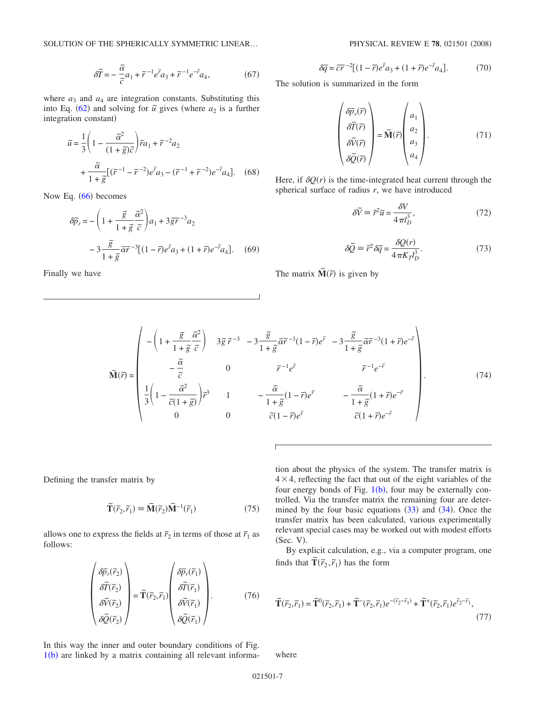SOLUTION OF THE SPHERICALLY SYMMETRIC LINEAR...

$$
\delta \widetilde{T} = -\frac{\widetilde{\alpha}}{\widetilde{c}} a_1 + \widetilde{r}^{-1} e^{\widetilde{r}} a_3 + \widetilde{r}^{-1} e^{-\widetilde{r}} a_4,\tag{67}
$$

where  $a_3$  and  $a_4$  are integration constants. Substituting this into Eq. ([62](#page-5-2)) and solving for  $\tilde{u}$  gives (where  $a_2$  is a further integration constant)

$$
\widetilde{u} = \frac{1}{3} \left( 1 - \frac{\widetilde{\alpha}^2}{(1 + \widetilde{g})\widetilde{c}} \right) \widetilde{r} a_1 + \widetilde{r}^{-2} a_2
$$

$$
+ \frac{\widetilde{\alpha}}{1 + \widetilde{g}} \left[ (\widetilde{r}^{-1} - \widetilde{r}^{-2}) e^{\widetilde{r}} a_3 - (\widetilde{r}^{-1} + \widetilde{r}^{-2}) e^{-\widetilde{r}} a_4 \right]. \tag{68}
$$

Now Eq. ([66](#page-5-5)) becomes

$$
\delta \tilde{p}_r = -\left(1 + \frac{\tilde{g}}{1 + \tilde{g}} \frac{\tilde{\alpha}^2}{\tilde{c}}\right) a_1 + 3 \tilde{g} \tilde{r}^{-3} a_2
$$

$$
-3 \frac{\tilde{g}}{1 + \tilde{g}} \tilde{\alpha} \tilde{r}^{-3} [(1 - \tilde{r}) e^{\tilde{r}} a_3 + (1 + \tilde{r}) e^{-\tilde{r}} a_4]. \quad (69)
$$

Finally we have

$$
\delta \widetilde{q} = \widetilde{c}\widetilde{r}^{-2} \left[ (1 - \widetilde{r})e^{\widetilde{r}} a_3 + (1 + \widetilde{r})e^{-\widetilde{r}} a_4 \right].
$$
 (70)

The solution is summarized in the form

$$
\begin{pmatrix}\n\delta \widetilde{p}_r(\widetilde{r}) \\
\delta \widetilde{T}(\widetilde{r}) \\
\delta \widetilde{V}(\widetilde{r}) \\
\delta \widetilde{Q}(\widetilde{r})\n\end{pmatrix} = \widetilde{\mathbf{M}}(\widetilde{r}) \begin{pmatrix}\na_1 \\
a_2 \\
a_3 \\
a_4\n\end{pmatrix}.
$$
\n(71)

Here, if  $\delta Q(r)$  is the time-integrated heat current through the spherical surface of radius *r*, we have introduced

$$
\delta \widetilde{V} = \widetilde{r}^2 \widetilde{u} = \frac{\delta V}{4 \pi l_D^3},\tag{72}
$$

$$
\delta \tilde{Q} = \tilde{r}^2 \delta \tilde{q} = \frac{\delta Q(r)}{4 \pi K_I l_D^3}.
$$
 (73)

The matrix  $\tilde{\mathbf{M}}(\tilde{r})$  is given by

$$
\widetilde{\mathbf{M}}(\vec{r}) = \begin{pmatrix}\n-\left(1 + \frac{\widetilde{g}}{1 + \widetilde{g}} \frac{\widetilde{\alpha}^2}{\widetilde{c}}\right) & 3\widetilde{g}\,\widetilde{r}^{-3} & -3\frac{\widetilde{g}}{1 + \widetilde{g}}\widetilde{\alpha}\widetilde{r}^{-3}(1 - \widetilde{r})e^{\widetilde{r}} & -3\frac{\widetilde{g}}{1 + \widetilde{g}}\widetilde{\alpha}\widetilde{r}^{-3}(1 + \widetilde{r})e^{-\widetilde{r}} \\
-\frac{\widetilde{\alpha}}{\widetilde{c}} & 0 & \widetilde{r}^{-1}e^{\widetilde{r}} & \widetilde{r}^{-1}e^{-\widetilde{r}} \\
\frac{1}{3}\left(1 - \frac{\widetilde{\alpha}^2}{\widetilde{c}(1 + \widetilde{g})}\right)\widetilde{r}^3 & 1 & -\frac{\widetilde{\alpha}}{1 + \widetilde{g}}(1 - \widetilde{r})e^{\widetilde{r}} & -\frac{\widetilde{\alpha}}{1 + \widetilde{g}}(1 + \widetilde{r})e^{-\widetilde{r}} \\
0 & 0 & \widetilde{c}(1 - \widetilde{r})e^{\widetilde{r}} & \widetilde{c}(1 + \widetilde{r})e^{-\widetilde{r}}\n\end{pmatrix}.
$$
\n(74)

Г.

Defining the transfer matrix by

$$
\widetilde{\mathbf{T}}(\widetilde{r}_2, \widetilde{r}_1) \equiv \widetilde{\mathbf{M}}(\widetilde{r}_2) \widetilde{\mathbf{M}}^{-1}(\widetilde{r}_1)
$$
\n(75)

<span id="page-6-0"></span>allows one to express the fields at  $\tilde{r}_2$  in terms of those at  $\tilde{r}_1$  as follows:

$$
\begin{pmatrix}\n\delta \widetilde{p}_r(\widetilde{r}_2) \\
\delta \widetilde{T}(\widetilde{r}_2) \\
\delta \widetilde{V}(\widetilde{r}_2) \\
\delta \widetilde{Q}(\widetilde{r}_2)\n\end{pmatrix} = \widetilde{T}(\widetilde{r}_2, \widetilde{r}_1) \begin{pmatrix}\n\delta \widetilde{p}_r(\widetilde{r}_1) \\
\delta \widetilde{T}(\widetilde{r}_1) \\
\delta \widetilde{V}(\widetilde{r}_1) \\
\delta \widetilde{Q}(\widetilde{r}_1)\n\end{pmatrix}.
$$
\n(76)

tion about the physics of the system. The transfer matrix is  $4 \times 4$ , reflecting the fact that out of the eight variables of the four energy bonds of Fig.  $1(b)$  $1(b)$ , four may be externally controlled. Via the transfer matrix the remaining four are determined by the four basic equations  $(33)$  $(33)$  $(33)$  and  $(34)$  $(34)$  $(34)$ . Once the transfer matrix has been calculated, various experimentally relevant special cases may be worked out with modest efforts  $(Sec. V)$ .

By explicit calculation, e.g., via a computer program, one finds that  $\tilde{\mathbf{T}}(\tilde{r}_2, \tilde{r}_1)$  has the form

<span id="page-6-1"></span>
$$
\widetilde{\mathbf{T}}(\widetilde{r}_2, \widetilde{r}_1) = \widetilde{\mathbf{T}}^0(\widetilde{r}_2, \widetilde{r}_1) + \widetilde{\mathbf{T}}^-(\widetilde{r}_2, \widetilde{r}_1)e^{-(\widetilde{r}_2 - \widetilde{r}_1)} + \widetilde{\mathbf{T}}^+(\widetilde{r}_2, \widetilde{r}_1)e^{\widetilde{r}_2 - \widetilde{r}_1},\tag{77}
$$

In this way the inner and outer boundary conditions of Fig.  $1(b)$  $1(b)$  are linked by a matrix containing all relevant informa-

where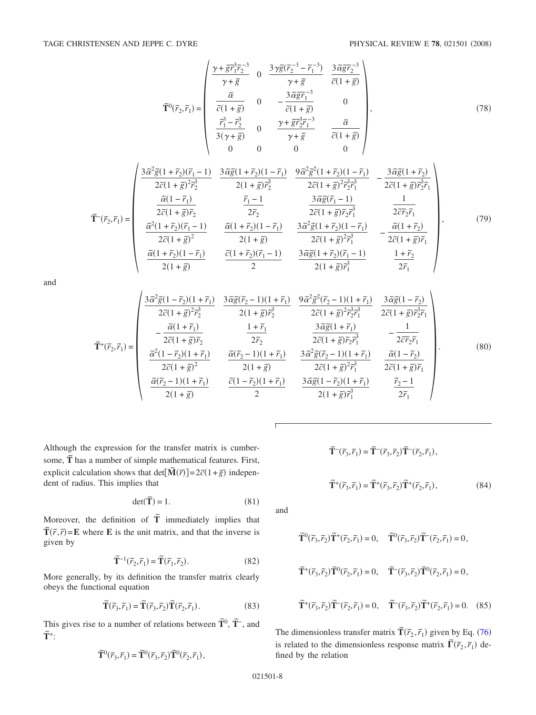$\overline{1}$ 

$$
\widetilde{\mathbf{T}}^{0}(\widetilde{r}_{2},\widetilde{r}_{1}) = \begin{pmatrix}\n\frac{\gamma + \widetilde{g}\widetilde{r}_{1}^{3}\widetilde{r}_{2}^{-3}}{\gamma + \widetilde{g}} & 0 & \frac{3\gamma\widetilde{g}(\widetilde{r}_{2}^{-3} - \widetilde{r}_{1}^{-3})}{\gamma + \widetilde{g}} & \frac{3\widetilde{\alpha}\widetilde{g}\widetilde{r}_{2}^{-3}}{\widetilde{c}(1 + \widetilde{g})} \\
\frac{\widetilde{\alpha}}{\widetilde{c}(1 + \widetilde{g})} & 0 & -\frac{3\widetilde{\alpha}\widetilde{g}\widetilde{r}_{1}^{-3}}{\widetilde{c}(1 + \widetilde{g})} & 0 \\
\frac{\widetilde{r}_{1}^{3} - \widetilde{r}_{2}^{3}}{3(\gamma + \widetilde{g})} & 0 & \frac{\gamma + \widetilde{g}\widetilde{r}_{2}^{3}\widetilde{r}_{1}^{-3}}{\gamma + \widetilde{g}} & \frac{\widetilde{\alpha}}{\widetilde{c}(1 + \widetilde{g})}\n\end{pmatrix},
$$
\n(78)

$$
\widetilde{\mathbf{T}}^{-}(\widetilde{r}_{2},\widetilde{r}_{1}) = \begin{pmatrix}\n\frac{3\widetilde{\alpha}^{2}\widetilde{g}(1+\widetilde{r}_{2})(\widetilde{r}_{1}-1)}{2\widetilde{c}(1+\widetilde{g})^{2}\widetilde{r}_{2}^{3}} & \frac{3\widetilde{\alpha}\widetilde{g}(1+\widetilde{r}_{2})(1-\widetilde{r}_{1})}{2(1+\widetilde{g})\widetilde{r}_{2}^{3}} & -\frac{3\widetilde{\alpha}\widetilde{g}(1+\widetilde{r}_{2})}{2\widetilde{c}(1+\widetilde{g})^{2}\widetilde{r}_{2}^{3}} \\
\frac{\widetilde{\alpha}(1-\widetilde{r}_{1})}{2\widetilde{c}(1+\widetilde{g})\widetilde{r}_{2}} & \frac{\widetilde{r}_{1}-1}{2\widetilde{r}_{2}} & \frac{3\widetilde{\alpha}\widetilde{g}(\widetilde{r}_{1}-1)}{2\widetilde{c}(1+\widetilde{g})\widetilde{r}_{2}\widetilde{r}_{1}} & \frac{1}{2\widetilde{c}\widetilde{r}_{2}\widetilde{r}_{1}} \\
\frac{\widetilde{\alpha}^{2}(1+\widetilde{r}_{2})(\widetilde{r}_{1}-1)}{2\widetilde{c}(1+\widetilde{g})^{2}} & \frac{\widetilde{\alpha}(1+\widetilde{r}_{2})(1-\widetilde{r}_{1})}{2(1+\widetilde{g})} & \frac{3\widetilde{\alpha}^{2}\widetilde{g}(1+\widetilde{r}_{2})(1-\widetilde{r}_{1})}{2\widetilde{c}(1+\widetilde{g})^{2}\widetilde{r}_{1}^{3}} & -\frac{\widetilde{\alpha}(1+\widetilde{r}_{2})}{2\widetilde{c}(1+\widetilde{g})\widetilde{r}_{1}}\n\end{pmatrix},\n\tag{79}
$$
\n
$$
\frac{\widetilde{\alpha}(1+\widetilde{r}_{2})(\widetilde{r}_{1}-1)}{2(1+\widetilde{g})} = \begin{pmatrix}\n\frac{\widetilde{\alpha}(1+\widetilde{r}_{2})(1-\widetilde{r}_{1})}{2\widetilde{c}(1+\widetilde{r}_{2})^{2}\widetilde{r}_{1}^{3}} & -\frac{\widetilde{\alpha}(1+\widetilde
$$

and

$$
\widetilde{\mathbf{T}}^{+}(\widetilde{r}_{2},\widetilde{r}_{1}) = \begin{pmatrix}\n\frac{3\widetilde{\alpha}^{2}\widetilde{g}(1-\widetilde{r}_{2})(1+\widetilde{r}_{1})}{2\widetilde{c}(1+\widetilde{g})\widetilde{r}_{2}^{3}} & \frac{3\widetilde{\alpha}\widetilde{g}(\widetilde{r}_{2}-1)(1+\widetilde{r}_{1})}{2(1+\widetilde{g})\widetilde{r}_{2}^{3}} & \frac{9\widetilde{\alpha}^{2}\widetilde{g}^{2}(\widetilde{r}_{2}-1)(1+\widetilde{r}_{1})}{2\widetilde{c}(1+\widetilde{g})\widetilde{r}_{2}^{3}\widetilde{r}_{1}} \\
-\frac{\widetilde{\alpha}(1+\widetilde{r}_{1})}{2\widetilde{c}(1+\widetilde{g})\widetilde{r}_{2}} & \frac{1+\widetilde{r}_{1}}{2\widetilde{r}_{2}} & \frac{3\widetilde{\alpha}\widetilde{g}(1+\widetilde{r}_{1})}{2\widetilde{c}(1+\widetilde{g})\widetilde{r}_{2}\widetilde{r}_{1}} & -\frac{1}{2\widetilde{c}\widetilde{r}_{2}\widetilde{r}_{1}} \\
\frac{\widetilde{\alpha}^{2}(1-\widetilde{r}_{2})(1+\widetilde{r}_{1})}{2\widetilde{c}(1+\widetilde{g})^{2}} & \frac{\widetilde{\alpha}(\widetilde{r}_{2}-1)(1+\widetilde{r}_{1})}{2(1+\widetilde{g})} & \frac{3\widetilde{\alpha}^{2}\widetilde{g}(\widetilde{r}_{2}-1)(1+\widetilde{r}_{1})}{2\widetilde{c}(1+\widetilde{g})^{2}\widetilde{r}_{1}^{3}} & \frac{\widetilde{\alpha}(1-\widetilde{r}_{2})}{2\widetilde{c}(1+\widetilde{g})\widetilde{r}_{1}} \\
\frac{\widetilde{\alpha}(\widetilde{r}_{2}-1)(1+\widetilde{r}_{1})}{2(1+\widetilde{g})} & \frac{\widetilde{c}(1-\widetilde{r}_{2})(1+\widetilde{r}_{1})}{2} & \frac{3\widetilde{\alpha}\widetilde{g}(1-\widetilde{r}_{2})(1+\widetilde{r}_{1})}{2(1+\widetilde{g})\widetilde{
$$

Although the expression for the transfer matrix is cumbersome, 
$$
\tilde{\mathbf{T}}
$$
 has a number of simple mathematical features. First, explicit calculation shows that det[ $\tilde{\mathbf{M}}(\tilde{r})$ ] = 2 $\tilde{c}$ (1+ $\tilde{g}$ ) independent of radius. This implies that

$$
\det(\widetilde{\mathbf{T}}) = 1. \tag{81}
$$

Moreover, the definition of  $\tilde{T}$  immediately implies that  $\tilde{T}(\tilde{r}, \tilde{r}) = \mathbf{E}$  where **E** is the unit matrix, and that the inverse is given by

$$
\widetilde{\mathbf{T}}^{-1}(\widetilde{r}_2, \widetilde{r}_1) = \widetilde{\mathbf{T}}(\widetilde{r}_1, \widetilde{r}_2). \tag{82}
$$

<span id="page-7-0"></span>More generally, by its definition the transfer matrix clearly obeys the functional equation

$$
\widetilde{\mathbf{T}}(\widetilde{r}_3, \widetilde{r}_1) = \widetilde{\mathbf{T}}(\widetilde{r}_3, \widetilde{r}_2) \widetilde{\mathbf{T}}(\widetilde{r}_2, \widetilde{r}_1).
$$
\n(83)

<span id="page-7-1"></span>This gives rise to a number of relations between  $\tilde{T}^0$ ,  $\tilde{T}^-$ , and  $\tilde{\mathbf{T}}^+$ **:** 

$$
\widetilde{\mathbf{T}}^{0}(\widetilde{r}_3,\widetilde{r}_1)=\widetilde{\mathbf{T}}^{0}(\widetilde{r}_3,\widetilde{r}_2)\widetilde{\mathbf{T}}^{0}(\widetilde{r}_2,\widetilde{r}_1),
$$

$$
\widetilde{\mathbf{T}}^-(\widetilde{r}_3,\widetilde{r}_1)=\widetilde{\mathbf{T}}^-(\widetilde{r}_3,\widetilde{r}_2)\widetilde{\mathbf{T}}^-(\widetilde{r}_2,\widetilde{r}_1),
$$

$$
\widetilde{\mathbf{T}}^{+}(\widetilde{r}_{3},\widetilde{r}_{1})=\widetilde{\mathbf{T}}^{+}(\widetilde{r}_{3},\widetilde{r}_{2})\widetilde{\mathbf{T}}^{+}(\widetilde{r}_{2},\widetilde{r}_{1}), \tag{84}
$$

and

$$
\tilde{\mathbf{T}}^{0}(\tilde{r}_{3},\tilde{r}_{2})\tilde{\mathbf{T}}^{+}(\tilde{r}_{2},\tilde{r}_{1})=0, \quad \tilde{\mathbf{T}}^{0}(\tilde{r}_{3},\tilde{r}_{2})\tilde{\mathbf{T}}^{-}(\tilde{r}_{2},\tilde{r}_{1})=0,
$$
\n
$$
\tilde{\mathbf{T}}^{+}(\tilde{r}_{3},\tilde{r}_{2})\tilde{\mathbf{T}}^{0}(\tilde{r}_{2},\tilde{r}_{1})=0, \quad \tilde{\mathbf{T}}^{-}(\tilde{r}_{3},\tilde{r}_{2})\tilde{\mathbf{T}}^{0}(\tilde{r}_{2},\tilde{r}_{1})=0,
$$
\n
$$
\tilde{\mathbf{T}}^{+}(\tilde{r}_{3},\tilde{r}_{2})\tilde{\mathbf{T}}^{-}(\tilde{r}_{2},\tilde{r}_{1})=0, \quad \tilde{\mathbf{T}}^{-}(\tilde{r}_{3},\tilde{r}_{2})\tilde{\mathbf{T}}^{+}(\tilde{r}_{2},\tilde{r}_{1})=0. \quad (85)
$$

The dimensionless transfer matrix  $\tilde{\mathbf{T}}(\tilde{r}_2, \tilde{r}_1)$  given by Eq. ([76](#page-6-0)) is related to the dimensionless response matrix  $\tilde{\Gamma}(\tilde{r}_2, \tilde{r}_1)$  defined by the relation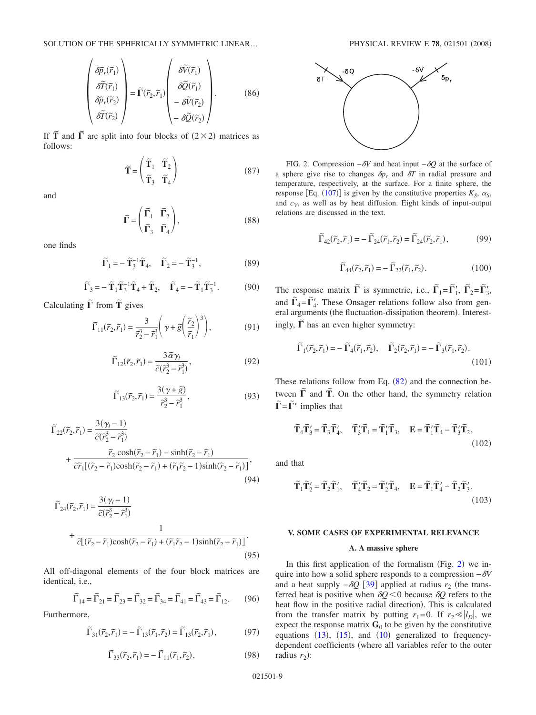$$
\begin{pmatrix}\n\delta \widetilde{p}_r(\widetilde{r}_1) \\
\delta \widetilde{T}(\widetilde{r}_1) \\
\delta \widetilde{p}_r(\widetilde{r}_2) \\
\delta \widetilde{T}(\widetilde{r}_2)\n\end{pmatrix} = \widetilde{\Gamma}(\widetilde{r}_2, \widetilde{r}_1) \begin{pmatrix}\n\delta \widetilde{V}(\widetilde{r}_1) \\
\delta \widetilde{Q}(\widetilde{r}_1) \\
-\delta \widetilde{V}(\widetilde{r}_2) \\
-\delta \widetilde{Q}(\widetilde{r}_2)\n\end{pmatrix} .
$$
\n(86)

If  $\tilde{T}$  and  $\tilde{\Gamma}$  are split into four blocks of  $(2 \times 2)$  matrices as follows:

$$
\widetilde{\mathbf{T}} = \begin{pmatrix} \widetilde{\mathbf{T}}_1 & \widetilde{\mathbf{T}}_2 \\ \widetilde{\mathbf{T}}_3 & \widetilde{\mathbf{T}}_4 \end{pmatrix}
$$
 (87)

<span id="page-8-1"></span>and

$$
\widetilde{\Gamma} = \begin{pmatrix} \widetilde{\Gamma}_1 & \widetilde{\Gamma}_2 \\ \widetilde{\Gamma}_3 & \widetilde{\Gamma}_4 \end{pmatrix},
$$
\n(88)

one finds

$$
\widetilde{\Gamma}_1 = -\widetilde{\mathbf{T}}_3^{-1} \widetilde{\mathbf{T}}_4, \quad \widetilde{\Gamma}_2 = -\widetilde{\mathbf{T}}_3^{-1}, \tag{89}
$$

$$
\widetilde{\Gamma}_3 = -\widetilde{\mathbf{T}}_1 \widetilde{\mathbf{T}}_3^{-1} \widetilde{\mathbf{T}}_4 + \widetilde{\mathbf{T}}_2, \quad \widetilde{\Gamma}_4 = -\widetilde{\mathbf{T}}_1 \widetilde{\mathbf{T}}_3^{-1}.
$$
 (90)

Calculating  $\tilde{\Gamma}$  from  $\tilde{\mathbf{T}}$  gives

$$
\widetilde{\Gamma}_{11}(\widetilde{r}_2, \widetilde{r}_1) = \frac{3}{\widetilde{r}_2^3 - \widetilde{r}_1^3} \left( \gamma + \widetilde{g} \left( \frac{\widetilde{r}_2}{\widetilde{r}_1} \right)^3 \right),\tag{91}
$$

$$
\widetilde{\Gamma}_{12}(\widetilde{r}_2, \widetilde{r}_1) = \frac{3 \widetilde{\alpha} \gamma_l}{\widetilde{c}(\widetilde{r}_2^3 - \widetilde{r}_1^3)},\tag{92}
$$

$$
\widetilde{\Gamma}_{13}(\widetilde{r}_2, \widetilde{r}_1) = \frac{3(\gamma + \widetilde{g})}{\widetilde{r}_2^3 - \widetilde{r}_1^3},\tag{93}
$$

$$
\begin{split} \widetilde{\Gamma}_{22}(\widetilde{r}_{2},\widetilde{r}_{1}) &= \frac{3(\gamma_{l}-1)}{\widetilde{c}(\widetilde{r}_{2}^{3}-\widetilde{r}_{1}^{3})} \\ &+ \frac{\widetilde{r}_{2}\cosh(\widetilde{r}_{2}-\widetilde{r}_{1})-\sinh(\widetilde{r}_{2}-\widetilde{r}_{1})}{\widetilde{c}\widetilde{r}_{1}[(\widetilde{r}_{2}-\widetilde{r}_{1})\cosh(\widetilde{r}_{2}-\widetilde{r}_{1})+(\widetilde{r}_{1}\widetilde{r}_{2}-1)\sinh(\widetilde{r}_{2}-\widetilde{r}_{1})]},\end{split} \tag{94}
$$

$$
\widetilde{\Gamma}_{24}(\widetilde{r}_2, \widetilde{r}_1) = \frac{3(\gamma_l - 1)}{\widetilde{c}(\widetilde{r}_2^3 - \widetilde{r}_1^3)} + \frac{1}{\widetilde{c}[(\widetilde{r}_2 - \widetilde{r}_1)\cosh(\widetilde{r}_2 - \widetilde{r}_1) + (\widetilde{r}_1\widetilde{r}_2 - 1)\sinh(\widetilde{r}_2 - \widetilde{r}_1)]}.
$$
\n(95)

All off-diagonal elements of the four block matrices are identical, i.e.,

$$
\widetilde{\Gamma}_{14} = \widetilde{\Gamma}_{21} = \widetilde{\Gamma}_{23} = \widetilde{\Gamma}_{32} = \widetilde{\Gamma}_{34} = \widetilde{\Gamma}_{41} = \widetilde{\Gamma}_{43} = \widetilde{\Gamma}_{12}. \tag{96}
$$

Furthermore,

$$
\widetilde{\Gamma}_{31}(\widetilde{r}_2, \widetilde{r}_1) = -\widetilde{\Gamma}_{13}(\widetilde{r}_1, \widetilde{r}_2) = \widetilde{\Gamma}_{13}(\widetilde{r}_2, \widetilde{r}_1),\tag{97}
$$

$$
\widetilde{\Gamma}_{33}(\widetilde{r}_2,\widetilde{r}_1) = -\widetilde{\Gamma}_{11}(\widetilde{r}_1,\widetilde{r}_2),\tag{98}
$$

<span id="page-8-0"></span>

FIG. 2. Compression  $-\delta V$  and heat input  $-\delta Q$  at the surface of a sphere give rise to changes  $\delta p_r$  and  $\delta T$  in radial pressure and temperature, respectively, at the surface. For a finite sphere, the response [Eq. ([107](#page-9-0))] is given by the constitutive properties  $K_S$ ,  $\alpha_S$ , and  $c_V$ , as well as by heat diffusion. Eight kinds of input-output relations are discussed in the text.

$$
\widetilde{\Gamma}_{42}(\widetilde{r}_2, \widetilde{r}_1) = -\widetilde{\Gamma}_{24}(\widetilde{r}_1, \widetilde{r}_2) = \widetilde{\Gamma}_{24}(\widetilde{r}_2, \widetilde{r}_1),\tag{99}
$$

$$
\widetilde{\Gamma}_{44}(\widetilde{r}_2, \widetilde{r}_1) = -\widetilde{\Gamma}_{22}(\widetilde{r}_1, \widetilde{r}_2). \tag{100}
$$

The response matrix  $\tilde{\Gamma}$  is symmetric, i.e.,  $\tilde{\Gamma}_1 = \tilde{\Gamma}'_1$ ,  $\tilde{\Gamma}_2 = \tilde{\Gamma}'_3$ , and  $\tilde{\Gamma}_4 = \tilde{\Gamma}'_4$ . These Onsager relations follow also from general arguments (the fluctuation-dissipation theorem). Interestingly,  $\tilde{\Gamma}$  has an even higher symmetry:

$$
\widetilde{\Gamma}_1(\widetilde{r}_2, \widetilde{r}_1) = -\widetilde{\Gamma}_4(\widetilde{r}_1, \widetilde{r}_2), \quad \widetilde{\Gamma}_2(\widetilde{r}_2, \widetilde{r}_1) = -\widetilde{\Gamma}_3(\widetilde{r}_1, \widetilde{r}_2).
$$
\n(101)

These relations follow from Eq.  $(82)$  $(82)$  $(82)$  and the connection between  $\tilde{\Gamma}$  and  $\tilde{T}$ . On the other hand, the symmetry relation  $\tilde{\Gamma} = \tilde{\Gamma}'$  implies that

$$
\widetilde{\mathbf{T}}_4 \widetilde{\mathbf{T}}_3' = \widetilde{\mathbf{T}}_3 \widetilde{\mathbf{T}}_4', \quad \widetilde{\mathbf{T}}_3' \widetilde{\mathbf{T}}_1 = \widetilde{\mathbf{T}}_1' \widetilde{\mathbf{T}}_3, \quad \mathbf{E} = \widetilde{\mathbf{T}}_1' \widetilde{\mathbf{T}}_4 - \widetilde{\mathbf{T}}_3' \widetilde{\mathbf{T}}_2,
$$
\n(102)

and that

$$
\widetilde{\mathbf{T}}_1 \widetilde{\mathbf{T}}_2' = \widetilde{\mathbf{T}}_2 \widetilde{\mathbf{T}}_1', \quad \widetilde{\mathbf{T}}_4' \widetilde{\mathbf{T}}_2 = \widetilde{\mathbf{T}}_2' \widetilde{\mathbf{T}}_4, \quad \mathbf{E} = \widetilde{\mathbf{T}}_1 \widetilde{\mathbf{T}}_4' - \widetilde{\mathbf{T}}_2 \widetilde{\mathbf{T}}_3'.
$$
\n(103)

## **V. SOME CASES OF EXPERIMENTAL RELEVANCE**

## **A. A massive sphere**

In this first application of the formalism (Fig.  $2$ ) we inquire into how a solid sphere responds to a compression −*V* and a heat supply  $-\delta Q$  [[39](#page-15-5)] applied at radius  $r_2$  (the transferred heat is positive when  $\delta Q < 0$  because  $\delta Q$  refers to the heat flow in the positive radial direction). This is calculated from the transfer matrix by putting  $r_1 = 0$ . If  $r_2 \ll |l_D|$ , we expect the response matrix  $G_0$  to be given by the constitutive equations  $(13)$  $(13)$  $(13)$ ,  $(15)$  $(15)$  $(15)$ , and  $(10)$  $(10)$  $(10)$  generalized to frequencydependent coefficients (where all variables refer to the outer radius  $r_2$ :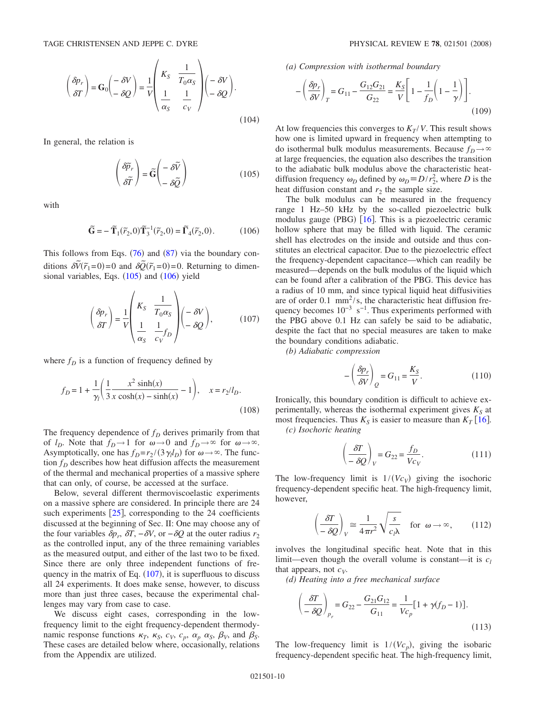$$
\left(\frac{\delta p_r}{\delta T}\right) = \mathbf{G}_0 \left(-\frac{\delta V}{\delta Q}\right) = \frac{1}{V} \left(\begin{array}{cc} K_S & \frac{1}{T_0 \alpha_S} \\ \frac{1}{\alpha_S} & \frac{1}{c_V} \end{array}\right) \left(-\frac{\delta V}{\delta Q}\right).
$$
\n(104)

In general, the relation is

$$
\begin{pmatrix} \delta \widetilde{p}_r \\ \delta \widetilde{T} \end{pmatrix} = \widetilde{G} \begin{pmatrix} -\delta \widetilde{V} \\ -\delta \widetilde{Q} \end{pmatrix}
$$
 (105)

<span id="page-9-1"></span>with

$$
\widetilde{\mathbf{G}} = -\widetilde{\mathbf{T}}_1(\widetilde{r}_2, 0)\widetilde{\mathbf{T}}_3^{-1}(\widetilde{r}_2, 0) = \widetilde{\mathbf{\Gamma}}_4(\widetilde{r}_2, 0). \tag{106}
$$

<span id="page-9-2"></span>This follows from Eqs.  $(76)$  $(76)$  $(76)$  and  $(87)$  $(87)$  $(87)$  via the boundary conditions  $\delta \tilde{V}(\tilde{r}_1=0)=0$  and  $\delta \tilde{Q}(\tilde{r}_1=0)=0$ . Returning to dimensional variables, Eqs.  $(105)$  $(105)$  $(105)$  and  $(106)$  $(106)$  $(106)$  yield

<span id="page-9-0"></span>
$$
\left(\frac{\delta p_r}{\delta T}\right) = \frac{1}{V} \left(\begin{array}{cc} K_S & \frac{1}{T_0 \alpha_S} \\ \frac{1}{\alpha_S} & \frac{1}{c_V} f_D \end{array}\right) \left(\begin{array}{cc} -\delta V \\ -\delta Q \end{array}\right),\tag{107}
$$

where  $f_D$  is a function of frequency defined by

$$
f_D = 1 + \frac{1}{\gamma_l} \left( \frac{1}{3} \frac{x^2 \sinh(x)}{x \cosh(x) - \sinh(x)} - 1 \right), \quad x = r_2 / l_D.
$$
\n(108)

The frequency dependence of  $f<sub>D</sub>$  derives primarily from that of  $l_D$ . Note that  $f_D \to 1$  for  $\omega \to 0$  and  $f_D \to \infty$  for  $\omega \to \infty$ . Asymptotically, one has  $f_D = r_2 / (3 \gamma_l l_D)$  for  $\omega \rightarrow \infty$ . The function  $f<sub>D</sub>$  describes how heat diffusion affects the measurement of the thermal and mechanical properties of a massive sphere that can only, of course, be accessed at the surface.

Below, several different thermoviscoelastic experiments on a massive sphere are considered. In principle there are 24 such experiments  $[25]$  $[25]$  $[25]$ , corresponding to the 24 coefficients discussed at the beginning of Sec. II: One may choose any of the four variables  $\delta p_r$ ,  $\delta T$ ,  $-\delta V$ , or  $-\delta Q$  at the outer radius  $r_2$ as the controlled input, any of the three remaining variables as the measured output, and either of the last two to be fixed. Since there are only three independent functions of frequency in the matrix of Eq.  $(107)$  $(107)$  $(107)$ , it is superfluous to discuss all 24 experiments. It does make sense, however, to discuss more than just three cases, because the experimental challenges may vary from case to case.

We discuss eight cases, corresponding in the lowfrequency limit to the eight frequency-dependent thermodynamic response functions  $\kappa_T$ ,  $\kappa_S$ ,  $c_V$ ,  $c_p$ ,  $\alpha_p$ ,  $\alpha_S$ ,  $\beta_V$ , and  $\beta_S$ . These cases are detailed below where, occasionally, relations from the Appendix are utilized.

*(a) Compression with isothermal boundary*

$$
-\left(\frac{\delta p_r}{\delta V}\right)_T = G_{11} - \frac{G_{12}G_{21}}{G_{22}} = \frac{K_S}{V} \left[1 - \frac{1}{f_D}\left(1 - \frac{1}{\gamma}\right)\right].
$$
\n(109)

At low frequencies this converges to  $K_T/V$ . This result shows how one is limited upward in frequency when attempting to do isothermal bulk modulus measurements. Because  $f_D \rightarrow \infty$ at large frequencies, the equation also describes the transition to the adiabatic bulk modulus above the characteristic heatdiffusion frequency  $\omega_D$  defined by  $\omega_D \equiv D/r_2^2$ , where *D* is the heat diffusion constant and  $r<sub>2</sub>$  the sample size.

The bulk modulus can be measured in the frequency range 1 Hz–50 kHz by the so-called piezoelectric bulk modulus gauge (PBG)  $[16]$  $[16]$  $[16]$ . This is a piezoelectric ceramic hollow sphere that may be filled with liquid. The ceramic shell has electrodes on the inside and outside and thus constitutes an electrical capacitor. Due to the piezoelectric effect the frequency-dependent capacitance—which can readily be measured—depends on the bulk modulus of the liquid which can be found after a calibration of the PBG. This device has a radius of 10 mm, and since typical liquid heat diffusivities are of order  $0.1 \, \text{mm}^2/\text{s}$ , the characteristic heat diffusion frequency becomes  $10^{-3}$  s<sup>-1</sup>. Thus experiments performed with the PBG above 0.1 Hz can safely be said to be adiabatic, despite the fact that no special measures are taken to make the boundary conditions adiabatic.

*(b) Adiabatic compression*

$$
-\left(\frac{\delta p_r}{\delta V}\right)_Q = G_{11} = \frac{K_S}{V}.\tag{110}
$$

Ironically, this boundary condition is difficult to achieve experimentally, whereas the isothermal experiment gives  $K_S$  at most frequencies. Thus  $K_S$  is easier to measure than  $K_T$  [[16](#page-14-20)]. *(c) Isochoric heating*

$$
\left(\frac{\delta T}{-\delta Q}\right)_V = G_{22} = \frac{f_D}{V c_V}.\tag{111}
$$

The low-frequency limit is  $1/(Vc_V)$  giving the isochoric frequency-dependent specific heat. The high-frequency limit, however,

$$
\left(\frac{\delta T}{-\delta Q}\right)_V \cong \frac{1}{4\pi r^2} \sqrt{\frac{s}{c_l \lambda}} \quad \text{for } \omega \to \infty,
$$
 (112)

involves the longitudinal specific heat. Note that in this limit—even though the overall volume is constant—it is  $c_l$ that appears, not  $c_V$ .

*(d) Heating into a free mechanical surface*

$$
\left(\frac{\delta T}{-\delta Q}\right)_{p_r} = G_{22} - \frac{G_{21}G_{12}}{G_{11}} = \frac{1}{V c_p} [1 + \gamma (f_D - 1)].
$$
\n(113)

The low-frequency limit is  $1/(Vc_p)$ , giving the isobaric frequency-dependent specific heat. The high-frequency limit,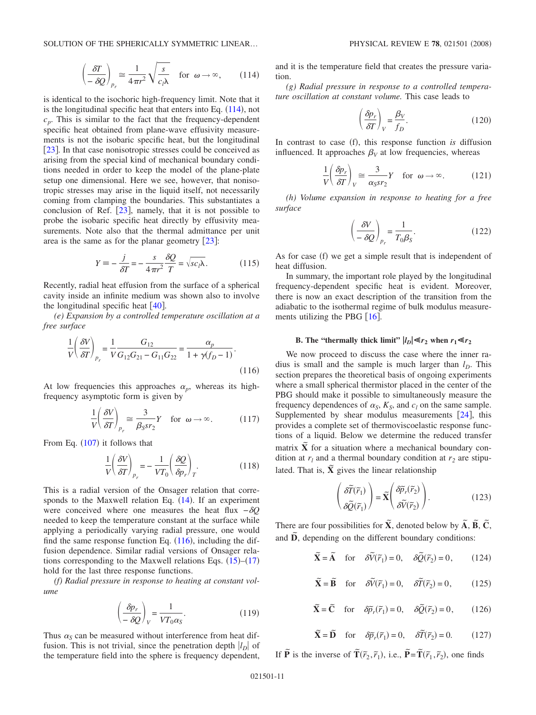$$
\left(\frac{\delta T}{-\delta Q}\right)_{p_r} \approx \frac{1}{4\pi r^2} \sqrt{\frac{s}{c_l \lambda}} \quad \text{for } \omega \to \infty,
$$
 (114)

<span id="page-10-0"></span>is identical to the isochoric high-frequency limit. Note that it is the longitudinal specific heat that enters into Eq.  $(114)$  $(114)$  $(114)$ , not  $c_p$ . This is similar to the fact that the frequency-dependent specific heat obtained from plane-wave effusivity measurements is not the isobaric specific heat, but the longitudinal [[23](#page-14-10)]. In that case nonisotropic stresses could be conceived as arising from the special kind of mechanical boundary conditions needed in order to keep the model of the plane-plate setup one dimensional. Here we see, however, that nonisotropic stresses may arise in the liquid itself, not necessarily coming from clamping the boundaries. This substantiates a conclusion of Ref.  $[23]$  $[23]$  $[23]$ , namely, that it is not possible to probe the isobaric specific heat directly by effusivity measurements. Note also that the thermal admittance per unit area is the same as for the planar geometry  $[23]$  $[23]$  $[23]$ :

$$
Y \equiv -\frac{j}{\delta T} = -\frac{s}{4\pi r^2} \frac{\delta Q}{T} = \sqrt{sc_l \lambda}.
$$
 (115)

Recently, radial heat effusion from the surface of a spherical cavity inside an infinite medium was shown also to involve the longitudinal specific heat  $[40]$  $[40]$  $[40]$ .

*(e) Expansion by a controlled temperature oscillation at a free surface*

<span id="page-10-1"></span>
$$
\frac{1}{V} \left( \frac{\delta V}{\delta T} \right)_{p_r} = \frac{1}{V} \frac{G_{12}}{G_{12} G_{21} - G_{11} G_{22}} = \frac{\alpha_p}{1 + \gamma (f_p - 1)}.
$$
\n(116)

At low frequencies this approaches  $\alpha_p$ , whereas its highfrequency asymptotic form is given by

$$
\frac{1}{V} \left( \frac{\delta V}{\delta T} \right)_{p_r} \approx \frac{3}{\beta_S s r_2} Y \quad \text{for } \omega \to \infty.
$$
 (117)

From Eq.  $(107)$  $(107)$  $(107)$  it follows that

$$
\frac{1}{V} \left( \frac{\delta V}{\delta T} \right)_{p_r} = -\frac{1}{V T_0} \left( \frac{\delta Q}{\delta p_r} \right)_T.
$$
\n(118)

This is a radial version of the Onsager relation that corresponds to the Maxwell relation Eq.  $(14)$  $(14)$  $(14)$ . If an experiment were conceived where one measures the heat flux −*Q* needed to keep the temperature constant at the surface while applying a periodically varying radial pressure, one would find the same response function Eq.  $(116)$  $(116)$  $(116)$ , including the diffusion dependence. Similar radial versions of Onsager relations corresponding to the Maxwell relations Eqs.  $(15)$  $(15)$  $(15)$ – $(17)$  $(17)$  $(17)$ hold for the last three response functions.

*(f) Radial pressure in response to heating at constant volume*

$$
\left(\frac{\delta p_r}{-\delta Q}\right)_V = \frac{1}{VT_0 \alpha_S}.\tag{119}
$$

Thus  $\alpha_s$  can be measured without interference from heat diffusion. This is not trivial, since the penetration depth  $|l_D|$  of the temperature field into the sphere is frequency dependent, and it is the temperature field that creates the pressure variation.

*(g) Radial pressure in response to a controlled temperature oscillation at constant volume.* This case leads to

$$
\left(\frac{\delta p_r}{\delta T}\right)_V = \frac{\beta_V}{f_D}.\tag{120}
$$

In contrast to case (f), this response function *is* diffusion influenced. It approaches  $\beta_V$  at low frequencies, whereas

$$
\frac{1}{V} \left( \frac{\delta p_r}{\delta T} \right)_V \cong \frac{3}{\alpha_S s r_2} Y \quad \text{for } \omega \to \infty.
$$
 (121)

*(h) Volume expansion in response to heating for a free surface*

$$
\left(\frac{\delta V}{-\delta Q}\right)_{p_r} = \frac{1}{T_0 \beta_S}.\tag{122}
$$

As for case (f) we get a simple result that is independent of heat diffusion.

In summary, the important role played by the longitudinal frequency-dependent specific heat is evident. Moreover, there is now an exact description of the transition from the adiabatic to the isothermal regime of bulk modulus measurements utilizing the PBG  $[16]$  $[16]$  $[16]$ .

# **B.** The "thermally thick limit"  $|l_D| \ll r_2$  when  $r_1 \ll r_2$

We now proceed to discuss the case where the inner radius is small and the sample is much larger than  $l<sub>D</sub>$ . This section prepares the theoretical basis of ongoing experiments where a small spherical thermistor placed in the center of the PBG should make it possible to simultaneously measure the frequency dependences of  $\alpha_S$ ,  $K_S$ , and  $c_l$  on the same sample. Supplemented by shear modulus measurements  $[24]$  $[24]$  $[24]$ , this provides a complete set of thermoviscoelastic response functions of a liquid. Below we determine the reduced transfer matrix  $\tilde{\mathbf{X}}$  for a situation where a mechanical boundary condition at  $r_l$  and a thermal boundary condition at  $r_2$  are stipulated. That is,  $\tilde{\mathbf{X}}$  gives the linear relationship

$$
\begin{pmatrix} \delta \widetilde{T}(\widetilde{r}_1) \\ \delta \widetilde{Q}(\widetilde{r}_1) \end{pmatrix} = \widetilde{\mathbf{X}} \begin{pmatrix} \delta \widetilde{p}_r(\widetilde{r}_2) \\ \delta \widetilde{V}(\widetilde{r}_2) \end{pmatrix} . \tag{123}
$$

<span id="page-10-2"></span>There are four possibilities for  $\tilde{\mathbf{X}}$ , denoted below by  $\tilde{\mathbf{A}}$ ,  $\tilde{\mathbf{B}}$ ,  $\tilde{\mathbf{C}}$ , and **D**, depending on the different boundary conditions:

> $\widetilde{\mathbf{X}} = \widetilde{\mathbf{A}}$  for  $\delta \widetilde{V}(\widetilde{r}_1) = 0$ ,  $\delta \widetilde{Q}(\widetilde{r}_2)$  $= 0,$  (124)

$$
\widetilde{\mathbf{X}} = \widetilde{\mathbf{B}}
$$
 for  $\delta \widetilde{V}(\widetilde{r}_1) = 0$ ,  $\delta \widetilde{T}(\widetilde{r}_2) = 0$ , (125)

$$
\widetilde{\mathbf{X}} = \widetilde{\mathbf{C}}
$$
 for  $\delta \widetilde{p}_r(\widetilde{r}_1) = 0$ ,  $\delta \widetilde{Q}(\widetilde{r}_2) = 0$ , (126)

$$
\widetilde{\mathbf{X}} = \widetilde{\mathbf{D}}
$$
 for  $\delta \widetilde{p}_r(\widetilde{r}_1) = 0$ ,  $\delta \widetilde{T}(\widetilde{r}_2) = 0$ . (127)

If  $\tilde{\mathbf{P}}$  is the inverse of  $\tilde{\mathbf{T}}(\tilde{r}_2, \tilde{r}_1)$ , i.e.,  $\tilde{\mathbf{P}} = \tilde{\mathbf{T}}(\tilde{r}_1, \tilde{r}_2)$ , one finds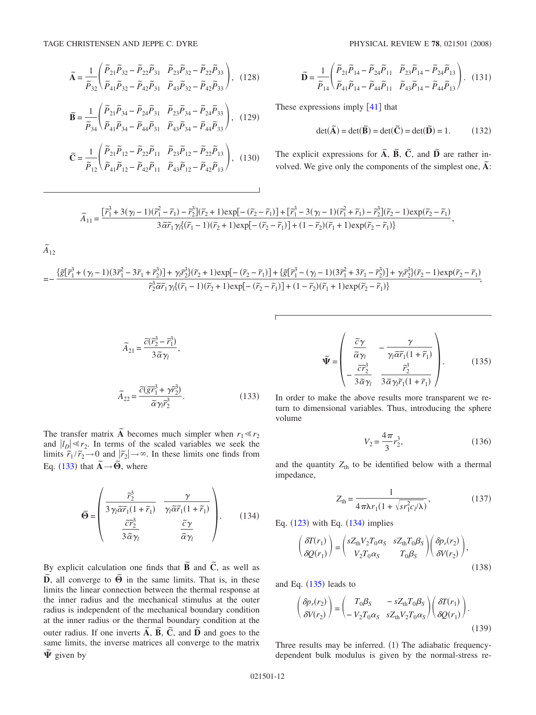<span id="page-11-0"></span>
$$
\widetilde{\mathbf{A}} = \frac{1}{\widetilde{P}_{32}} \left( \frac{\widetilde{P}_{21} \widetilde{P}_{32} - \widetilde{P}_{22} \widetilde{P}_{31}}{\widetilde{P}_{41} \widetilde{P}_{32} - \widetilde{P}_{42} \widetilde{P}_{31}} \frac{\widetilde{P}_{23} \widetilde{P}_{32} - \widetilde{P}_{22} \widetilde{P}_{33}}{\widetilde{P}_{43} \widetilde{P}_{32} - \widetilde{P}_{42} \widetilde{P}_{33}} \right), (128)
$$

$$
\widetilde{\mathbf{B}} = \frac{1}{\widetilde{P}_{34}} \left( \frac{\widetilde{P}_{21} \widetilde{P}_{34} - \widetilde{P}_{24} \widetilde{P}_{31}}{\widetilde{P}_{44} \widetilde{P}_{34} - \widetilde{P}_{44} \widetilde{P}_{31}} \frac{\widetilde{P}_{23} \widetilde{P}_{34} - \widetilde{P}_{24} \widetilde{P}_{33}}{\widetilde{P}_{34} - \widetilde{P}_{44} \widetilde{P}_{33}} \right), (129)
$$

$$
\widetilde{C} = \frac{1}{\widetilde{P}_{12}} \left( \frac{\widetilde{P}_{21} \widetilde{P}_{12} - \widetilde{P}_{22} \widetilde{P}_{11}}{\widetilde{P}_{41} \widetilde{P}_{12} - \widetilde{P}_{42} \widetilde{P}_{11}} \frac{\widetilde{P}_{23} \widetilde{P}_{12} - \widetilde{P}_{22} \widetilde{P}_{13}}{\widetilde{P}_{43} \widetilde{P}_{12} - \widetilde{P}_{42} \widetilde{P}_{13}} \right), (130)
$$

$$
\widetilde{\mathbf{D}} = \frac{1}{\widetilde{P}_{14}} \left( \frac{\widetilde{P}_{21} \widetilde{P}_{14} - \widetilde{P}_{24} \widetilde{P}_{11}}{\widetilde{P}_{41} \widetilde{P}_{14} - \widetilde{P}_{44} \widetilde{P}_{11}} \frac{\widetilde{P}_{23} \widetilde{P}_{14} - \widetilde{P}_{24} \widetilde{P}_{13}}{\widetilde{P}_{43} \widetilde{P}_{14} - \widetilde{P}_{44} \widetilde{P}_{13}} \right). (131)
$$

These expressions imply  $\lceil 41 \rceil$  $\lceil 41 \rceil$  $\lceil 41 \rceil$  that

$$
\det(\widetilde{\mathbf{A}}) = \det(\widetilde{\mathbf{B}}) = \det(\widetilde{\mathbf{C}}) = \det(\widetilde{\mathbf{D}}) = 1.
$$
 (132)

The explicit expressions for  $\tilde{A}$ ,  $\tilde{B}$ ,  $\tilde{C}$ , and  $\tilde{D}$  are rather involved. We give only the components of the simplest one,  $\tilde{A}$ :

$$
\widetilde{A}_{11}=\frac{\left[\widetilde{r}_1^3+3(\gamma_l-1)(\widetilde{r}_1^2-\widetilde{r}_1)-\widetilde{r}_2^3\right](\widetilde{r}_2+1)\exp[-\left(\widetilde{r}_2-\widetilde{r}_1\right)\right]+\left[\widetilde{r}_1^3-3(\gamma_l-1)(\widetilde{r}_1^2+\widetilde{r}_1)-\widetilde{r}_2^3\right](\widetilde{r}_2-1)\exp(\widetilde{r}_2-\widetilde{r}_1)}{3\widetilde{\alpha}\widetilde{r}_1\gamma_l\{(\widetilde{r}_1-1)(\widetilde{r}_2+1)\exp[-\left(\widetilde{r}_2-\widetilde{r}_1\right)\}+(1-\widetilde{r}_2)(\widetilde{r}_1+1)\exp(\widetilde{r}_2-\widetilde{r}_1)\}},
$$

$$
\widetilde{A}_{12}
$$

$$
=-\frac{\{\widetilde{g}[\widetilde{r}_{1}^{3}+(\gamma_{l}-1)(3\widetilde{r}_{1}^{2}-3\widetilde{r}_{1}+\widetilde{r}_{2}^{3})]+\gamma_{l}\widetilde{r}_{2}^{3}(\widetilde{r}_{2}+1)\exp[-\left(\widetilde{r}_{2}-\widetilde{r}_{1}\right)\right]+\{\widetilde{g}[\widetilde{r}_{1}^{3}-(\gamma_{l}-1)(3\widetilde{r}_{1}^{2}+3\widetilde{r}_{1}-\widetilde{r}_{2}^{3})]+\gamma_{l}\widetilde{r}_{2}^{3}(\widetilde{r}_{2}-1)\exp(\widetilde{r}_{2}-\widetilde{r}_{1})}{\widetilde{r}_{2}^{3}\widetilde{a}\widetilde{r}_{1}\gamma_{l}(\widetilde{r}_{1}-1)(\widetilde{r}_{2}+1)\exp[-\left(\widetilde{r}_{2}-\widetilde{r}_{1}\right)]+(1-\widetilde{r}_{2})(\widetilde{r}_{1}+1)\exp(\widetilde{r}_{2}-\widetilde{r}_{1})} ,
$$

$$
\widetilde{A}_{21} = \frac{\widetilde{c}(\widetilde{r}_2^3 - \widetilde{r}_1^3)}{3\widetilde{\alpha}\gamma_l},
$$
\n
$$
\widetilde{A}_{22} = \frac{\widetilde{c}(\widetilde{g}\widetilde{r}_1^3 + \gamma \widetilde{r}_2^3)}{\widetilde{\alpha}\gamma_l \widetilde{r}_2^3}.
$$
\n(133)

The transfer matrix  $\tilde{A}$  becomes much simpler when  $r_1 \ll r_2$ and  $|l_D| \ll r_2$ . In terms of the scaled variables we seek the limits  $\tilde{r}_1/\tilde{r}_2 \to 0$  and  $|\tilde{r}_2| \to \infty$ . In these limits one finds from Eq. ([133](#page-11-0)) that  $\tilde{A} \rightarrow \tilde{\Theta}$ , where

<span id="page-11-1"></span>
$$
\widetilde{\Theta} = \begin{pmatrix} \frac{\widetilde{r}_2^3}{3\gamma_l \widetilde{\alpha} \widetilde{r}_1 (1 + \widetilde{r}_1)} & \frac{\gamma}{\gamma_l \widetilde{\alpha} \widetilde{r}_1 (1 + \widetilde{r}_1)} \\ \frac{\widetilde{c} \widetilde{r}_2^3}{3 \widetilde{\alpha} \gamma_l} & \frac{\widetilde{c} \gamma}{\widetilde{\alpha} \gamma_l} \end{pmatrix} . \tag{134}
$$

By explicit calculation one finds that  $\tilde{B}$  and  $\tilde{C}$ *,* as well as  $\tilde{D}$ , all converge to  $\tilde{\Theta}$  in the same limits. That is, in these limits the linear connection between the thermal response at the inner radius and the mechanical stimulus at the outer radius is independent of the mechanical boundary condition at the inner radius or the thermal boundary condition at the outer radius. If one inverts  $\tilde{A}$ ,  $\tilde{B}$ ,  $\tilde{C}$ , and  $\tilde{D}$  and goes to the same limits, the inverse matrices all converge to the matrix *˜* given by

$$
\widetilde{\Psi} = \begin{pmatrix} \frac{\widetilde{c}\gamma}{\widetilde{\alpha}\gamma_l} & -\frac{\gamma}{\gamma_l \widetilde{\alpha}\widetilde{r}_1(1+\widetilde{r}_1)} \\ -\frac{\widetilde{c}\widetilde{r}_2^3}{3\widetilde{\alpha}\gamma_l} & \frac{\widetilde{r}_2^3}{3\widetilde{\alpha}\gamma_l \widetilde{r}_1(1+\widetilde{r}_1)} \end{pmatrix} .
$$
 (135)

<span id="page-11-2"></span>In order to make the above results more transparent we return to dimensional variables. Thus, introducing the sphere volume

$$
V_2 = \frac{4\pi}{3}r_2^3,\tag{136}
$$

and the quantity  $Z_{\text{th}}$  to be identified below with a thermal impedance,

$$
Z_{\text{th}} = \frac{1}{4\pi\lambda r_1 (1 + \sqrt{sr_1^2 c/\lambda})},
$$
\n(137)

Eq.  $(123)$  $(123)$  $(123)$  with Eq.  $(134)$  $(134)$  $(134)$  implies

$$
\begin{pmatrix} \delta T(r_1) \\ \delta Q(r_1) \end{pmatrix} = \begin{pmatrix} sZ_{\text{th}}V_2T_0\alpha_S & sZ_{\text{th}}T_0\beta_S \\ V_2T_0\alpha_S & T_0\beta_S \end{pmatrix} \begin{pmatrix} \delta p_r(r_2) \\ \delta V(r_2) \end{pmatrix},
$$
\n(138)

and Eq.  $(135)$  $(135)$  $(135)$  leads to

$$
\begin{pmatrix}\n\delta p_r(r_2) \\
\delta V(r_2)\n\end{pmatrix} = \begin{pmatrix}\nT_0 \beta_S & -s Z_{\text{th}} T_0 \beta_S \\
-V_2 T_0 \alpha_S & s Z_{\text{th}} V_2 T_0 \alpha_S\n\end{pmatrix} \begin{pmatrix}\n\delta T(r_1) \\
\delta Q(r_1)\n\end{pmatrix}.
$$
\n(139)

Three results may be inferred. (1) The adiabatic frequencydependent bulk modulus is given by the normal-stress re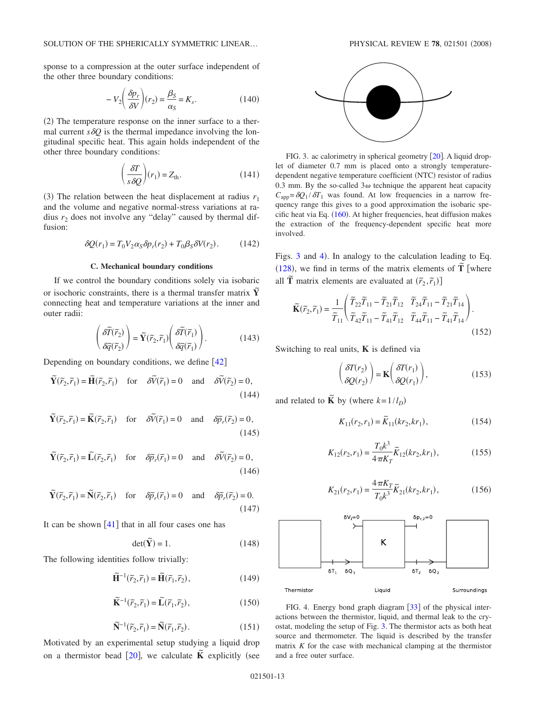sponse to a compression at the outer surface independent of the other three boundary conditions:

$$
-V_2 \left(\frac{\delta p_r}{\delta V}\right)(r_2) = \frac{\beta_S}{\alpha_S} = K_s.
$$
 (140)

(2) The temperature response on the inner surface to a thermal current  $s\delta Q$  is the thermal impedance involving the longitudinal specific heat. This again holds independent of the other three boundary conditions:

$$
\left(\frac{\delta T}{s\,\delta Q}\right)(r_1) = Z_{\text{th}}.\tag{141}
$$

(3) The relation between the heat displacement at radius  $r_1$ and the volume and negative normal-stress variations at radius  $r_2$  does not involve any "delay" caused by thermal diffusion:

$$
\delta Q(r_1) = T_0 V_2 \alpha_S \delta p_r(r_2) + T_0 \beta_S \delta V(r_2). \tag{142}
$$

### **C. Mechanical boundary conditions**

If we control the boundary conditions solely via isobaric or isochoric constraints, there is a thermal transfer matrix **Y** connecting heat and temperature variations at the inner and outer radii:

$$
\left(\frac{\partial \widetilde{T}(\widetilde{r}_2)}{\partial \widetilde{q}(\widetilde{r}_2)}\right) = \widetilde{\mathbf{Y}}(\widetilde{r}_2, \widetilde{r}_1) \left(\frac{\partial \widetilde{T}(\widetilde{r}_1)}{\partial \widetilde{q}(\widetilde{r}_1)}\right). \tag{143}
$$

Depending on boundary conditions, we define  $\lceil 42 \rceil$  $\lceil 42 \rceil$  $\lceil 42 \rceil$ 

$$
\widetilde{\mathbf{Y}}(\widetilde{r}_2, \widetilde{r}_1) = \widetilde{\mathbf{H}}(\widetilde{r}_2, \widetilde{r}_1) \quad \text{for} \quad \delta \widetilde{V}(\widetilde{r}_1) = 0 \quad \text{and} \quad \delta \widetilde{V}(\widetilde{r}_2) = 0,
$$
\n(144)

$$
\widetilde{\mathbf{Y}}(\widetilde{r}_2, \widetilde{r}_1) = \widetilde{\mathbf{K}}(\widetilde{r}_2, \widetilde{r}_1) \quad \text{for} \quad \delta \widetilde{V}(\widetilde{r}_1) = 0 \quad \text{and} \quad \delta \widetilde{p}_r(\widetilde{r}_2) = 0,
$$
\n(145)

$$
\widetilde{\mathbf{Y}}(\widetilde{r}_2, \widetilde{r}_1) = \widetilde{\mathbf{L}}(\widetilde{r}_2, \widetilde{r}_1) \quad \text{for} \quad \delta \widetilde{p}_r(\widetilde{r}_1) = 0 \quad \text{and} \quad \delta \widetilde{V}(\widetilde{r}_2) = 0,
$$
\n(146)

$$
\widetilde{\mathbf{Y}}(\widetilde{r}_2, \widetilde{r}_1) = \widetilde{\mathbf{N}}(\widetilde{r}_2, \widetilde{r}_1) \quad \text{for} \quad \delta \widetilde{p}_r(\widetilde{r}_1) = 0 \quad \text{and} \quad \delta \widetilde{p}_r(\widetilde{r}_2) = 0. \tag{147}
$$

It can be shown  $\lceil 41 \rceil$  $\lceil 41 \rceil$  $\lceil 41 \rceil$  that in all four cases one has

$$
\det(\widetilde{\mathbf{Y}}) = 1. \tag{148}
$$

The following identities follow trivially:

$$
\widetilde{\mathbf{H}}^{-1}(\widetilde{r}_2, \widetilde{r}_1) = \widetilde{\mathbf{H}}(\widetilde{r}_1, \widetilde{r}_2),\tag{149}
$$

$$
\widetilde{\mathbf{K}}^{-1}(\widetilde{r}_2, \widetilde{r}_1) = \widetilde{\mathbf{L}}(\widetilde{r}_1, \widetilde{r}_2),\tag{150}
$$

$$
\widetilde{\mathbf{N}}^{-1}(\widetilde{r}_2, \widetilde{r}_1) = \widetilde{\mathbf{N}}(\widetilde{r}_1, \widetilde{r}_2). \tag{151}
$$

Motivated by an experimental setup studying a liquid drop on a thermistor bead  $[20]$  $[20]$  $[20]$ , we calculate  $\tilde{K}$  explicitly (see

<span id="page-12-0"></span>

FIG. 3. ac calorimetry in spherical geometry  $[20]$  $[20]$  $[20]$ . A liquid droplet of diameter 0.7 mm is placed onto a strongly temperaturedependent negative temperature coefficient (NTC) resistor of radius 0.3 mm. By the so-called  $3\omega$  technique the apparent heat capacity  $C_{\text{ann}} = \delta Q_1 / \delta T_1$  was found. At low frequencies in a narrow frequency range this gives to a good approximation the isobaric spe-cific heat via Eq. ([160](#page-13-0)). At higher frequencies, heat diffusion makes the extraction of the frequency-dependent specific heat more involved.

Figs.  $3$  and  $4$ ). In analogy to the calculation leading to Eq.  $(128)$  $(128)$  $(128)$ , we find in terms of the matrix elements of  $\tilde{T}$  where all  $\tilde{T}$  matrix elements are evaluated at  $(\tilde{r}_2, \tilde{r}_1)$ 

$$
\widetilde{\mathbf{K}}(\widetilde{r}_2, \widetilde{r}_1) = \frac{1}{\widetilde{T}_{11}} \left( \frac{\widetilde{T}_{22} \widetilde{T}_{11} - \widetilde{T}_{21} \widetilde{T}_{12}}{\widetilde{T}_{22} \widetilde{T}_{11} - \widetilde{T}_{21} \widetilde{T}_{12}} \frac{\widetilde{T}_{24} \widetilde{T}_{11} - \widetilde{T}_{21} \widetilde{T}_{14}}{\widetilde{T}_{24} \widetilde{T}_{11} - \widetilde{T}_{41} \widetilde{T}_{14}} \right). \tag{152}
$$

Switching to real units, **K** is defined via

$$
\begin{pmatrix} \delta T(r_2) \\ \delta Q(r_2) \end{pmatrix} = \mathbf{K} \begin{pmatrix} \delta T(r_1) \\ \delta Q(r_1) \end{pmatrix},
$$
\n(153)

and related to  $\tilde{K}$  by (where  $k = 1/l_D$ )

$$
K_{11}(r_2, r_1) = \widetilde{K}_{11}(kr_2, kr_1), \tag{154}
$$

$$
K_{12}(r_2, r_1) = \frac{T_0 k^3}{4 \pi K_T} \tilde{K}_{12}(kr_2, kr_1),
$$
 (155)

$$
K_{21}(r_2, r_1) = \frac{4\,\pi K_T}{T_0 k^3} \widetilde{K}_{21}(kr_2, kr_1),\tag{156}
$$

<span id="page-12-1"></span>

FIG. 4. Energy bond graph diagram [[33](#page-15-9)] of the physical interactions between the thermistor, liquid, and thermal leak to the cryostat, modeling the setup of Fig. [3.](#page-12-0) The thermistor acts as both heat source and thermometer. The liquid is described by the transfer matrix *K* for the case with mechanical clamping at the thermistor and a free outer surface.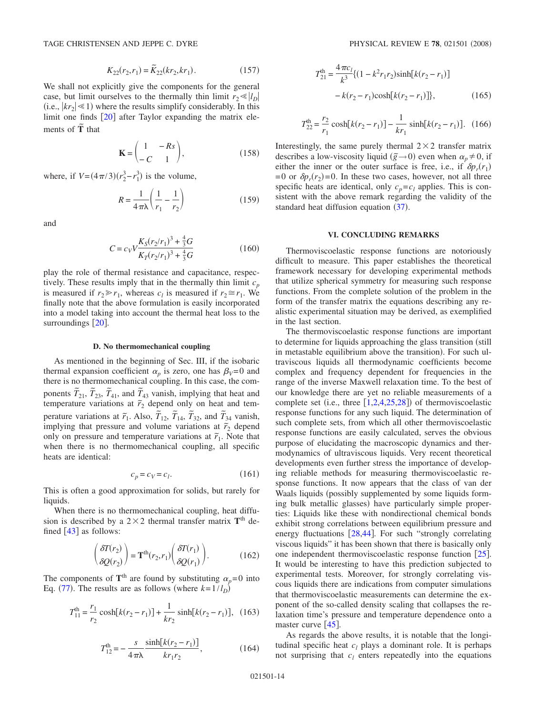$$
K_{22}(r_2, r_1) = \widetilde{K}_{22}(kr_2, kr_1).
$$
 (157)

We shall not explicitly give the components for the general case, but limit ourselves to the thermally thin limit  $r_2 \ll |l_D|$ (i.e.,  $|kr_2| \le 1$ ) where the results simplify considerably. In this limit one finds  $[20]$  $[20]$  $[20]$  after Taylor expanding the matrix elements of **<sup>T</sup>***˜* that

$$
\mathbf{K} = \begin{pmatrix} 1 & -Rs \\ -C & 1 \end{pmatrix},\tag{158}
$$

where, if  $V = (4\pi/3)(r_2^3 - r_1^3)$  is the volume,

$$
R = \frac{1}{4\pi\lambda} \left( \frac{1}{r_1} - \frac{1}{r_2} \right)
$$
 (159)

and

$$
C = c_V V \frac{K_S (r_2/r_1)^3 + \frac{4}{3} G}{K_T (r_2/r_1)^3 + \frac{4}{3} G} \tag{160}
$$

<span id="page-13-0"></span>play the role of thermal resistance and capacitance, respectively. These results imply that in the thermally thin limit  $c_p$ is measured if  $r_2 \ge r_1$ , whereas  $c_l$  is measured if  $r_2 \cong r_1$ . We finally note that the above formulation is easily incorporated into a model taking into account the thermal heat loss to the surroundings  $\lceil 20 \rceil$  $\lceil 20 \rceil$  $\lceil 20 \rceil$ .

## **D. No thermomechanical coupling**

As mentioned in the beginning of Sec. III, if the isobaric thermal expansion coefficient  $\alpha_p$  is zero, one has  $\beta_V=0$  and there is no thermomechanical coupling. In this case, the components  $\tilde{T}_{21}$ ,  $\tilde{T}_{23}$ ,  $\tilde{T}_{41}$ , and  $\tilde{T}_{43}$  vanish, implying that heat and temperature variations at  $\tilde{r}_2$  depend only on heat and temperature variations at  $\tilde{r}_1$ . Also,  $\tilde{T}_{12}$ ,  $\tilde{T}_{14}$ ,  $\tilde{T}_{32}$ , and  $\tilde{T}_{34}$  vanish, implying that pressure and volume variations at  $\tilde{r}_2$  depend only on pressure and temperature variations at  $\tilde{r}_1$ . Note that when there is no thermomechanical coupling, all specific heats are identical:

$$
c_p = c_V = c_l. \tag{161}
$$

This is often a good approximation for solids, but rarely for liquids.

When there is no thermomechanical coupling, heat diffusion is described by a  $2 \times 2$  thermal transfer matrix  $T<sup>th</sup>$  defined  $\lceil 43 \rceil$  $\lceil 43 \rceil$  $\lceil 43 \rceil$  as follows:

$$
\begin{pmatrix} \delta T(r_2) \\ \delta Q(r_2) \end{pmatrix} = \mathbf{T}^{\text{th}}(r_2, r_1) \begin{pmatrix} \delta T(r_1) \\ \delta Q(r_1) \end{pmatrix}.
$$
 (162)

The components of  $T<sup>th</sup>$  are found by substituting  $\alpha_p = 0$  into Eq. ([77](#page-6-1)). The results are as follows (where  $k = 1/l_D$ )

$$
T_{11}^{\text{th}} = \frac{r_1}{r_2} \cosh[k(r_2 - r_1)] + \frac{1}{kr_2} \sinh[k(r_2 - r_1)], \quad (163)
$$

$$
T_{12}^{\text{th}} = -\frac{s}{4\pi\lambda} \frac{\sinh[k(r_2 - r_1)]}{kr_1r_2},
$$
 (164)

$$
T_{21}^{\text{th}} = \frac{4\pi c_l}{k^3} \{ (1 - k^2 r_1 r_2) \sinh[k(r_2 - r_1)] - k(r_2 - r_1) \cosh[k(r_2 - r_1)] \},
$$
 (165)

$$
T_{22}^{\text{th}} = \frac{r_2}{r_1} \cosh[k(r_2 - r_1)] - \frac{1}{kr_1} \sinh[k(r_2 - r_1)]. \tag{166}
$$

Interestingly, the same purely thermal  $2 \times 2$  transfer matrix describes a low-viscosity liquid  $(\tilde{g} \rightarrow 0)$  even when  $\alpha_p \neq 0$ , if either the inner or the outer surface is free, i.e., if  $\delta p_r(r_1)$  $= 0$  or  $\delta p_r(r_2) = 0$ . In these two cases, however, not all three specific heats are identical, only  $c_p = c_l$  applies. This is consistent with the above remark regarding the validity of the standard heat diffusion equation  $(37)$  $(37)$  $(37)$ .

## **VI. CONCLUDING REMARKS**

Thermoviscoelastic response functions are notoriously difficult to measure. This paper establishes the theoretical framework necessary for developing experimental methods that utilize spherical symmetry for measuring such response functions. From the complete solution of the problem in the form of the transfer matrix the equations describing any realistic experimental situation may be derived, as exemplified in the last section.

The thermoviscoelastic response functions are important to determine for liquids approaching the glass transition (still in metastable equilibrium above the transition). For such ultraviscous liquids all thermodynamic coefficients become complex and frequency dependent for frequencies in the range of the inverse Maxwell relaxation time. To the best of our knowledge there are yet no reliable measurements of a complete set (i.e., three  $[1,2,4,25,28]$  $[1,2,4,25,28]$  $[1,2,4,25,28]$  $[1,2,4,25,28]$  $[1,2,4,25,28]$  $[1,2,4,25,28]$  $[1,2,4,25,28]$ ) of thermoviscoelastic response functions for any such liquid. The determination of such complete sets, from which all other thermoviscoelastic response functions are easily calculated, serves the obvious purpose of elucidating the macroscopic dynamics and thermodynamics of ultraviscous liquids. Very recent theoretical developments even further stress the importance of developing reliable methods for measuring thermoviscoelastic response functions. It now appears that the class of van der Waals liquids (possibly supplemented by some liquids forming bulk metallic glasses) have particularly simple properties: Liquids like these with nondirectional chemical bonds exhibit strong correlations between equilibrium pressure and energy fluctuations  $[28,44]$  $[28,44]$  $[28,44]$  $[28,44]$ . For such "strongly correlating viscous liquids" it has been shown that there is basically only one independent thermoviscoelastic response function [[25](#page-14-6)]. It would be interesting to have this prediction subjected to experimental tests. Moreover, for strongly correlating viscous liquids there are indications from computer simulations that thermoviscoelastic measurements can determine the exponent of the so-called density scaling that collapses the relaxation time's pressure and temperature dependence onto a master curve  $\lceil 45 \rceil$  $\lceil 45 \rceil$  $\lceil 45 \rceil$ .

As regards the above results, it is notable that the longitudinal specific heat  $c_l$  plays a dominant role. It is perhaps not surprising that  $c_l$  enters repeatedly into the equations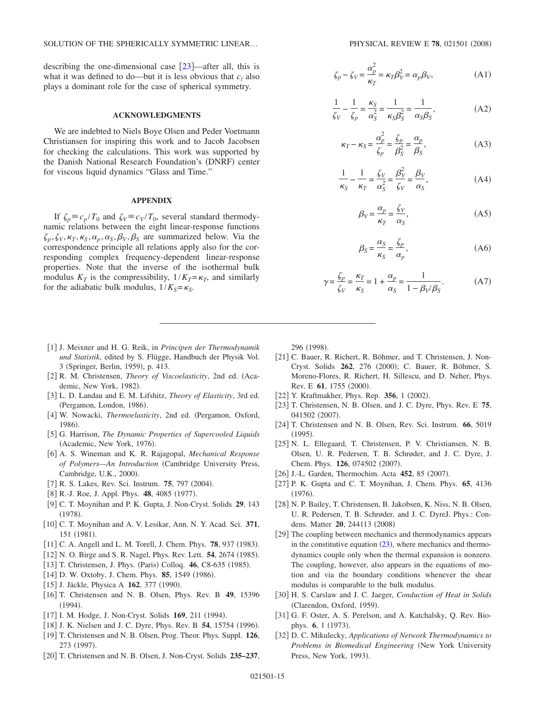describing the one-dimensional case  $[23]$  $[23]$  $[23]$ —after all, this is what it was defined to do—but it is less obvious that  $c_l$  also plays a dominant role for the case of spherical symmetry.

## **ACKNOWLEDGMENTS**

We are indebted to Niels Boye Olsen and Peder Voetmann Christiansen for inspiring this work and to Jacob Jacobsen for checking the calculations. This work was supported by the Danish National Research Foundation's (DNRF) center for viscous liquid dynamics "Glass and Time."

#### **APPENDIX**

If  $\zeta_p \equiv c_p / T_0$  and  $\zeta_V \equiv c_V / T_0$ , several standard thermodynamic relations between the eight linear-response functions  $\zeta_p, \zeta_V, \kappa_T, \kappa_S, \alpha_p, \alpha_S, \beta_V, \beta_S$  are summarized below. Via the correspondence principle all relations apply also for the corresponding complex frequency-dependent linear-response properties. Note that the inverse of the isothermal bulk modulus  $K_T$  is the compressibility,  $1/K_T = \kappa_T$ , and similarly for the adiabatic bulk modulus,  $1/K_s = \kappa_s$ .

- <span id="page-14-0"></span>1 J. Meixner and H. G. Reik, in *Principen der Thermodynamik und Statistik*, edited by S. Flügge, Handbuch der Physik Vol. 3 (Springer, Berlin, 1959), p. 413.
- [2] R. M. Christensen, *Theory of Viscoelasticity*, 2nd ed. (Academic, New York, 1982).
- <span id="page-14-11"></span>3 L. D. Landau and E. M. Lifshitz, *Theory of Elasticity*, 3rd ed. (Pergamon, London, 1986).
- <span id="page-14-14"></span>[4] W. Nowacki, *Thermoelasticity*, 2nd ed. (Pergamon, Oxford, 1986).
- <span id="page-14-1"></span>5 G. Harrison, *The Dynamic Properties of Supercooled Liquids* (Academic, New York, 1976).
- <span id="page-14-15"></span><span id="page-14-2"></span>6 A. S. Wineman and K. R. Rajagopal, *Mechanical Response of Polymers—An Introduction* Cambridge University Press, Cambridge, U.K., 2000).
- [7] R. S. Lakes, Rev. Sci. Instrum. **75**, 797 (2004).
- <span id="page-14-3"></span>[8] R.-J. Roe, J. Appl. Phys. **48**, 4085 (1977).
- <span id="page-14-4"></span>9 C. T. Moynihan and P. K. Gupta, J. Non-Cryst. Solids **29**, 143  $(1978).$
- 10 C. T. Moynihan and A. V. Lesikar, Ann. N. Y. Acad. Sci. **371**, 151 (1981).
- [11] C. A. Angell and L. M. Torell, J. Chem. Phys. **78**, 937 (1983).
- [12] N. O. Birge and S. R. Nagel, Phys. Rev. Lett. **54**, 2674 (1985).
- [13] T. Christensen, J. Phys. (Paris) Colloq. **46**, C8-635 (1985).
- [14] D. W. Oxtoby, J. Chem. Phys. 85, 1549 (1986).
- [15] J. Jäckle, Physica A **162**, 377 (1990).
- 16 T. Christensen and N. B. Olsen, Phys. Rev. B **49**, 15396  $(1994).$
- <span id="page-14-20"></span>[17] I. M. Hodge, J. Non-Cryst. Solids 169, 211 (1994).
- [18] J. K. Nielsen and J. C. Dyre, Phys. Rev. B 54, 15754 (1996).
- 19 T. Christensen and N. B. Olsen, Prog. Theor. Phys. Suppl. **126**, 273 (1997).
- <span id="page-14-22"></span>20 T. Christensen and N. B. Olsen, J. Non-Cryst. Solids **235–237**,

<span id="page-14-16"></span>
$$
\zeta_p - \zeta_V = \frac{\alpha_p^2}{\kappa_T} = \kappa_T \beta_V^2 = \alpha_p \beta_V,\tag{A1}
$$

$$
\frac{1}{\zeta_V} - \frac{1}{\zeta_p} = \frac{\kappa_S}{\alpha_S^2} = \frac{1}{\kappa_S \beta_S^2} = \frac{1}{\alpha_S \beta_S},
$$
(A2)

$$
\kappa_T - \kappa_S = \frac{\alpha_p^2}{\zeta_p} = \frac{\zeta_p}{\beta_S^2} = \frac{\alpha_p}{\beta_S},
$$
\n(A3)

<span id="page-14-19"></span><span id="page-14-18"></span>
$$
\frac{1}{\kappa_S} - \frac{1}{\kappa_T} = \frac{\zeta_V}{\alpha_S^2} = \frac{\beta_V^2}{\zeta_V} = \frac{\beta_V}{\alpha_S},\tag{A4}
$$

$$
\beta_V = \frac{\alpha_p}{\kappa_T} = \frac{\zeta_V}{\alpha_S},\tag{A5}
$$

$$
\beta_S = \frac{\alpha_S}{\kappa_S} = \frac{\zeta_p}{\alpha_p},\tag{A6}
$$

<span id="page-14-17"></span>
$$
\gamma = \frac{\zeta_p}{\zeta_V} = \frac{\kappa_T}{\kappa_S} = 1 + \frac{\alpha_p}{\alpha_S} = \frac{1}{1 - \beta_V/\beta_S}.
$$
 (A7)

296 (1998).

- [21] C. Bauer, R. Richert, R. Böhmer, and T. Christensen, J. Non-Cryst. Solids 262, 276 (2000); C. Bauer, R. Böhmer, S. Moreno-Flores, R. Richert, H. Sillescu, and D. Neher, Phys. Rev. E **61**, 1755 (2000).
- [22] Y. Kraftmakher, Phys. Rep. 356, 1 (2002).
- 23 T. Christensen, N. B. Olsen, and J. C. Dyre, Phys. Rev. E **75**, 041502 (2007).
- <span id="page-14-10"></span>24 T. Christensen and N. B. Olsen, Rev. Sci. Instrum. **66**, 5019  $(1995).$
- <span id="page-14-21"></span><span id="page-14-6"></span>25 N. L. Ellegaard, T. Christensen, P. V. Christiansen, N. B. Olsen, U. R. Pedersen, T. B. Schrøder, and J. C. Dyre, J. Chem. Phys. 126, 074502 (2007).
- [26] J.-L. Garden, Thermochim. Acta **452**, 85 (2007).
- <span id="page-14-5"></span>27 P. K. Gupta and C. T. Moynihan, J. Chem. Phys. **65**, 4136  $(1976).$
- <span id="page-14-8"></span><span id="page-14-7"></span>28 N. P. Bailey, T. Christensen, B. Jakobsen, K. Niss, N. B. Olsen, U. R. Pedersen, T. B. Schrøder, and J. C. DyreJ. Phys.: Condens. Matter **20**, 244113 (2008)
- <span id="page-14-9"></span>[29] The coupling between mechanics and thermodynamics appears in the constitutive equation  $(23)$  $(23)$  $(23)$ , where mechanics and thermodynamics couple only when the thermal expansion is nonzero. The coupling, however, also appears in the equations of motion and via the boundary conditions whenever the shear modulus is comparable to the bulk modulus.
- 30 H. S. Carslaw and J. C. Jaeger, *Conduction of Heat in Solids* (Clarendon, Oxford, 1959).
- <span id="page-14-12"></span>[31] G. F. Oster, A. S. Perelson, and A. Katchalsky, Q. Rev. Biophys. **6**, 1 (1973).
- <span id="page-14-13"></span>32 D. C. Mikulecky, *Applications of Network Thermodynamics to Problems in Biomedical Engineering* (New York University Press, New York, 1993).